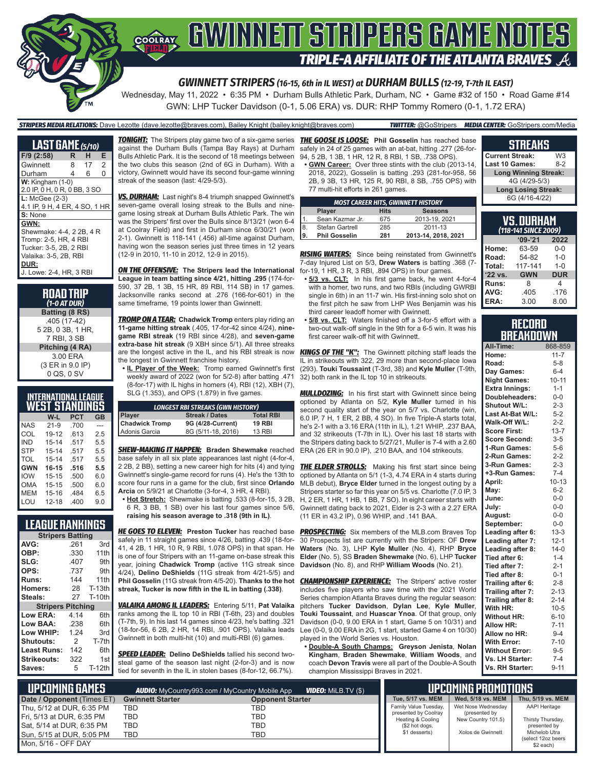# **SOFAY GWINNEIT STRIPERS GAME NOTES TRIPLE-A AFFILIATE OF THE ATLANTA BRAVES**

#### *GWINNETT STRIPERS (16-15, 6th in IL WEST) at DURHAM BULLS (12-19, T-7th IL EAST)*

Wednesday, May 11, 2022 • 6:35 PM • Durham Bulls Athletic Park, Durham, NC • Game #32 of 150 • Road Game #14 GWN: LHP Tucker Davidson (0-1, 5.06 ERA) vs. DUR: RHP Tommy Romero (0-1, 1.72 ERA)

#### *STRIPERS MEDIA RELATIONS:* Dave Lezotte (dave.lezotte@braves.com), Bailey Knight (bailey.knight@braves.com) *TWITTER:* @GoStripers *MEDIA CENTER:* GoStripers.com/Media

| <b>LAST GAME</b> (5/10)       |                         |    |                |  |
|-------------------------------|-------------------------|----|----------------|--|
| F/9 (2:58)                    | R                       | н  | Е              |  |
| Gwinnett                      | 8                       | 17 | 2              |  |
| Durham                        | 4                       | 6  | $\overline{0}$ |  |
| $W:$ Kingham $(1-0)$          |                         |    |                |  |
| 2.0 IP, 0 H, 0 R, 0 BB, 3 SO  |                         |    |                |  |
| $L:$ McGee $(2-3)$            |                         |    |                |  |
| 4.1 IP, 9 H, 4 ER, 4 SO, 1 HR |                         |    |                |  |
| S: None                       |                         |    |                |  |
| GWN:                          |                         |    |                |  |
| Shewmake: 4-4, 2 2B, 4 R      |                         |    |                |  |
| Tromp: 2-5, HR, 4 RBI         |                         |    |                |  |
| Tucker: 3-5, 2B, 2 RBI        |                         |    |                |  |
| Valaika: 3-5, 2B, RBI         |                         |    |                |  |
| DUR:                          |                         |    |                |  |
|                               | J. Lowe: 2-4. HR. 3 RBI |    |                |  |
|                               |                         |    |                |  |

| <b>ROAD TRIP</b><br>$(1-0 AT DUR)$ |
|------------------------------------|
| Batting (8 RS)                     |
| .405 (17-42)                       |
| 5 2B, 0 3B, 1 HR,                  |
| 7 RBI, 3 SB                        |
| Pitching (4 RA)                    |
| 3.00 ERA                           |
| (3 ER in 9.0 IP)                   |
| 0 QS, 0 SV                         |

| INTERNATIONAL LEAGUE<br><b>WEST STANDINGS</b> |        |      |    |  |
|-----------------------------------------------|--------|------|----|--|
|                                               | W-I    | PCT  | GB |  |
| NAS                                           | $21-9$ | .700 |    |  |
|                                               |        |      |    |  |

| <i><u> </u></i> | .    |     |
|-----------------|------|-----|
| 19-12           | .613 | 2.5 |
| $15 - 14$       | .517 | 5.5 |
| $15 - 14$       | .517 | 5.5 |
| $15 - 14$       | .517 | 5.5 |
|                 |      |     |
| 16-15           | .516 | 5.5 |
| $15 - 15$       | .500 | 6.0 |
| $15 - 15$       | .500 | 6.0 |
| $15 - 16$       | .484 | 6.5 |
|                 |      |     |

#### **LEAGUE RANKINGS**

| <b>Stripers Batting</b>  |               |               |  |  |
|--------------------------|---------------|---------------|--|--|
| AVG:                     | .261          | 3rd           |  |  |
| OBP:                     | .330          | 11th          |  |  |
| SLG:                     | .407          | 9th           |  |  |
| OPS:                     | .737          | 9th           |  |  |
| Runs:                    | 144           | 11th          |  |  |
| <b>Homers:</b>           | 28            | $T-13th$      |  |  |
| Steals:                  | 27            | <b>T-10th</b> |  |  |
| <b>Stripers Pitching</b> |               |               |  |  |
| Low ERA:                 | 4.14          | 6th           |  |  |
| Low BAA:                 | .238          | 6th           |  |  |
| Low WHIP:                | 1.24          | 3rd           |  |  |
| Shutouts:                | $\mathcal{P}$ | T-7th         |  |  |
| <b>Least Runs:</b>       | 142           | 6th           |  |  |
| Strikeouts:              | 322           | 1st           |  |  |
| Saves:                   | 5             | <b>T-12th</b> |  |  |
|                          |               |               |  |  |

against the Durham Bulls (Tampa Bay Rays) at Durham Bulls Athletic Park. It is the second of 18 meetings between the two clubs this season (2nd of 6G in Durham). With a victory, Gwinnett would have its second four-game winning streak of the season (last: 4/29-5/3).

*VS. DURHAM:* Last night's 8-4 triumph snapped Gwinnett's seven-game overall losing streak to the Bulls and ninegame losing streak at Durham Bulls Athletic Park. The win was the Stripers' first over the Bulls since 8/13/21 (won 6-4 at Coolray Field) and first in Durham since 6/30/21 (won 2-1). Gwinnett is 118-141 (.456) all-time against Durham, having won the season series just three times in 12 years (12-9 in 2010, 11-10 in 2012, 12-9 in 2015).

*ON THE OFFENSIVE:* **The Stripers lead the International League in team batting since 4/21, hitting .295** (174-for-590, 37 2B, 1 3B, 15 HR, 89 RBI, 114 SB) in 17 games. Jacksonville ranks second at .276 (166-for-601) in the same timeframe, 19 points lower than Gwinnett.

*TROMP ON A TEAR:* **Chadwick Tromp** enters play riding an **11-game hitting streak** (.405, 17-for-42 since 4/24), **ninegame RBI streak** (19 RBI since 4/28), and **seven-game extra-base hit streak** (9 XBH since 5/1). All three streaks are the longest active in the IL, and his RBI streak is now the longest in Gwinnett franchise history.

**• IL Player of the Week:** Tromp earned Gwinnett's first weekly award of 2022 (won for 5/2-8) after batting .471 (8-for-17) with IL highs in homers (4), RBI (12), XBH (7), SLG (1.353), and OPS (1.879) in five games.

| <b>LONGEST RBI STREAKS (GWN HISTORY)</b> |  |                       |  |                  |
|------------------------------------------|--|-----------------------|--|------------------|
| <b>Player</b>                            |  | <b>Streak / Dates</b> |  | <b>Total RBI</b> |
| <b>Chadwick Tromp</b>                    |  | 9G (4/28-Current)     |  | <b>19 RBI</b>    |
| Adonis Garcia                            |  | 8G (5/11-18, 2016)    |  | <b>13 RBI</b>    |

*SHEW-MAKING IT HAPPEN:* **Braden Shewmake** reached base safely in all six plate appearances last night (4-for-4, 2 2B, 2 BB), setting a new career high for hits (4) and tying Gwinnett's single-game record for runs (4). He's the 13th to score four runs in a game for the club, first since **Orlando Arcia** on 5/9/21 at Charlotte (3-for-4, 3 HR, 4 RBI).

**• Hot Stretch:** Shewmake is batting .533 (8-for-15, 3 2B, 6 R, 3 BB, 1 SB) over his last four games since 5/6, **raising his season average to .318 (9th in IL)**.

*HE GOES TO ELEVEN:* **Preston Tucker** has reached base safely in 11 straight games since 4/26, batting .439 (18-for-41, 4 2B, 1 HR, 10 R, 9 RBI, 1.078 OPS) in that span. He is one of four Stripers with an 11-game on-base streak this year, joining **Chadwick Tromp** (active 11G streak since 4/24), **Delino DeShields** (11G streak from 4/21-5/5) and **Phil Gosselin** (11G streak from 4/5-20). **Thanks to the hot streak, Tucker is now fifth in the IL in batting (.338)**.

*VALAIKA AMONG IL LEADERS:* Entering 5/11, **Pat Valaika** ranks among the IL top 10 in RBI (T-6th, 23) and doubles (T-7th, 9). In his last 14 games since 4/23, he's batting .321  $(18$ -for-56, 6.2B, 2 HR $_{14}$  RBI, 901 OPS). Valaika leads Gwinnett in both multi-hit (10) and multi-RBI (6) games.

*SPEED LEADER:* **Delino DeShields** tallied his second twosteal game of the season last night (2-for-3) and is now tied for seventh in the IL in stolen bases (8-for-12, 66.7%).

*TONIGHT:* The Stripers play game two of a six-game series *THE GOOSE IS LOOSE:* **Phil Gosselin** has reached base safely in 24 of 25 games with an at-bat, hitting .277 (26-for-

94, 5 2B, 1 3B, 1 HR, 12 R, 8 RBI, 1 SB, .738 OPS). **• GWN Career:** Over three stints with the club (2013-14, 2018, 2022), Gosselin is batting .293 (281-for-958, 56 2B, 9 3B, 13 HR, 125 R, 90 RBI, 8 SB, .755 OPS) with 77 multi-hit efforts in 261 games.

| <b>MOST CAREER HITS, GWINNETT HISTORY</b> |                      |             |                     |
|-------------------------------------------|----------------------|-------------|---------------------|
|                                           | Player               | <b>Hits</b> | <b>Seasons</b>      |
| $\vert$ 1                                 | Sean Kazmar Jr.      | 675         | 2013-19, 2021       |
| $\sqrt{\frac{8}{9}}$                      | Stefan Gartrell      | 285         | 2011-13             |
|                                           | <b>Phil Gosselin</b> | 281         | 2013-14, 2018, 2021 |

**RISING WATERS:** Since being reinstated from Gwinnett's 7-day Injured List on 5/3, **Drew Waters** is batting .368 (7 for-19, 1 HR, 3 R, 3 RBI, .894 OPS) in four games.

- **• 5/3 vs. CLT:** In his first game back, he went 4-for-4 with a homer, two runs, and two RBIs (including GWRBI single in 6th) in an 11-7 win. His first-inning solo shot on the first pitch he saw from LHP Wes Benjamin was his third career leadoff homer with Gwinnett.
- **• 5/8 vs. CLT:** Waters finished off a 3-for-5 effort with a two-out walk-off single in the 9th for a 6-5 win. It was his first career walk-off hit with Gwinnett.

*KINGS OF THE "K":* The Gwinnett pitching staff leads the IL in strikeouts with 322, 29 more than second-place Iowa (293). **Touki Toussaint** (T-3rd, 38) and **Kyle Muller** (T-9th, 32) both rank in the IL top 10 in strikeouts.

*MULLDOZING:* In his first start with Gwinnett since being optioned by Atlanta on 5/2, **Kyle Muller** turned in his second quality start of the year on 5/7 vs. Charlotte (win, 6.0 IP, 7 H, 1 ER, 2 BB, 4 SO). In five Triple-A starts total, he's 2-1 with a 3.16 ERA (11th in IL), 1.21 WHIP, .237 BAA, and 32 strikeouts (T-7th in IL). Over his last 18 starts with the Stripers dating back to 5/27/21, Muller is 7-4 with a 2.60 ERA (26 ER in 90.0 IP), .210 BAA, and 104 strikeouts.

**THE ELDER STROLLS:** Making his first start since being optioned by Atlanta on 5/1 (1-3, 4.74 ERA in 4 starts during MLB debut), **Bryce Elder** turned in the longest outing by a Stripers starter so far this year on 5/5 vs. Charlotte (7.0 IP, 3 H, 2 ER, 1 HR, 1 HB, 1 BB, 7 SO). In eight career starts with Gwinnett dating back to 2021, Elder is 2-3 with a 2.27 ERA (11 ER in 43.2 IP), 0.96 WHIP, and .141 BAA.

**PROSPECTING:** Six members of the MLB.com Braves Top 30 Prospects list are currently with the Stripers: OF **Drew Waters** (No. 3), LHP **Kyle Muller** (No. 4), RHP **Bryce Elder** (No. 5), SS **Braden Shewmake** (No. 6), LHP **Tucker Davidson** (No. 8), and RHP **William Woods** (No. 21).

**CHAMPIONSHIP EXPERIENCE:** The Stripers' active roster includes five players who saw time with the 2021 World Series champion Atlanta Braves during the regular season: pitchers **Tucker Davidson**, **Dylan Lee**, **Kyle Muller**, **Touki Toussaint**, and **Huascar Ynoa**. Of that group, only Davidson (0-0, 9.00 ERA in 1 start, Game 5 on 10/31) and Lee (0-0, 9.00 ERA in 2G, 1 start, started Game 4 on 10/30) played in the World Series vs. Houston.

**• Double-A South Champs: Greyson Jenista**, **Nolan Kingham**, **Braden Shewmake**, **William Woods**, and coach **Devon Travis** were all part of the Double-A South champion Mississippi Braves in 2021.

### **STREAKS**

| <b>Current Streak:</b>      | W3    |  |
|-----------------------------|-------|--|
| Last 10 Games:              | $8-2$ |  |
| <b>Long Winning Streak:</b> |       |  |
| 4G (4/29-5/3)               |       |  |
| <b>Long Losing Streak:</b>  |       |  |
| 6G (4/16-4/22)              |       |  |

| VS. DURHAM<br>(118-141 SINCE 2009) |            |            |  |
|------------------------------------|------------|------------|--|
|                                    | $9 - 21$   | 2022       |  |
| Home:                              | 63-59      | $0 - 0$    |  |
| Road:                              | 54-82      | $1 - 0$    |  |
| Total:                             | 117-141    | $1 - 0$    |  |
| '22 vs.                            | <b>GWN</b> | <b>DUR</b> |  |
| Runs:                              | 8          | 4          |  |
| AVG:                               | .405       | .176       |  |
| ERA:                               | 3.00       | 8.00       |  |

#### **RECORD BREAKDOWN**

| All-Time:             | 868-859   |
|-----------------------|-----------|
| Home:                 | $11 - 7$  |
| Road:                 | $5 - 8$   |
| Day Games:            | $6 - 4$   |
| <b>Night Games:</b>   | $10 - 11$ |
| <b>Extra Innings:</b> | $1 - 1$   |
| Doubleheaders:        | $0-0$     |
| Shutout W/L:          | $2 - 3$   |
| Last At-Bat W/L:      | $5 - 2$   |
| Walk-Off W/L:         | $2 - 2$   |
| <b>Score First:</b>   | $13 - 7$  |
| <b>Score Second:</b>  | $3 - 5$   |
| 1-Run Games:          | $5-6$     |
| 2-Run Games:          | $2 - 2$   |
| 3-Run Games:          | $2 - 3$   |
| +3-Run Games:         | $7 - 4$   |
| April:                | $10 - 13$ |
| May:                  | $6 - 2$   |
| June:                 | $0 - 0$   |
| July:                 | $0 - 0$   |
| August:               | $0 - 0$   |
| September:            | $0 - 0$   |
| Leading after 6:      | $13 - 3$  |
| Leading after 7:      | $12 - 1$  |
| Leading after 8:      | $14-0$    |
| Tied after 6:         | $1 - 4$   |
| Tied after 7:         | $2 - 1$   |
| Tied after 8:         | $0 - 1$   |
| Trailing after 6:     | $2 - 8$   |
| Trailing after 7:     | $2 - 13$  |
| Trailing after 8:     | $2 - 14$  |
| With HR:              | $10 - 5$  |
| <b>Without HR:</b>    | $6 - 10$  |
| Allow HR:             | $7 - 11$  |
| Allow no HR:          | $9 - 4$   |
| <b>With Error:</b>    | $7 - 10$  |
| <b>Without Error:</b> | $9 - 5$   |
| Vs. LH Starter:       | $7 - 4$   |
| Vs RH Starter:        | $9 - 11$  |

| LUPCOMING GAMES I          |                         | WDEO: MILB.TV (\$)<br><b>AUDIO:</b> MyCountry993.com / MyCountry Mobile App |                                           | <b>UPCOMING PROMOTIONS</b>          |                                     |
|----------------------------|-------------------------|-----------------------------------------------------------------------------|-------------------------------------------|-------------------------------------|-------------------------------------|
| Date / Opponent (Times ET) | <b>Gwinnett Starter</b> | <b>Opponent Starter</b>                                                     | Tue, 5/17 vs. MEM                         | Wed, 5/18 vs. MEM                   | Thu. 5/19 vs. MEM                   |
| Thu, 5/12 at DUR, 6:35 PM  | TBD                     | TBD                                                                         | Family Value Tuesday,                     | Wet Nose Wednesday                  | <b>AAPI Heritage</b>                |
| Fri, 5/13 at DUR, 6:35 PM  | TBD                     | TBD                                                                         | presented by Coolray<br>Heating & Cooling | (presented by<br>New Country 101.5) | Thirsty Thursday,                   |
| Sat, 5/14 at DUR, 6:35 PM  | TBD                     | TBD                                                                         | (\$2 hot dogs,                            |                                     | presented by                        |
| Sun, 5/15 at DUR, 5:05 PM  | TBD                     | TBD                                                                         | \$1 desserts)                             | Xolos de Gwinnett                   | Michelob Utra<br>(select 12oz beers |
| l Mon. 5/16 - OFF DAY      |                         |                                                                             |                                           |                                     | \$2 each)                           |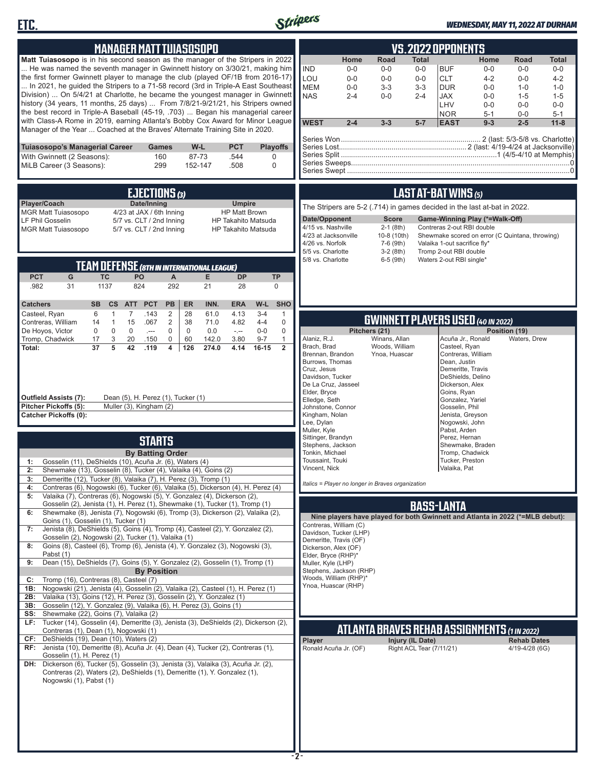



## *WEDNESDAY, MAY 11, 2022 AT DURHAM*

| <b>MANAGER MATT TUIASOSOPO</b>                                                                                                                                                                                                                                                                                                                                                                                                                                                                                                                                                               | VS.2022 OPPONENTS                                                                                                                                                                                                                                                                                                                                                                                                                                                                                                          |
|----------------------------------------------------------------------------------------------------------------------------------------------------------------------------------------------------------------------------------------------------------------------------------------------------------------------------------------------------------------------------------------------------------------------------------------------------------------------------------------------------------------------------------------------------------------------------------------------|----------------------------------------------------------------------------------------------------------------------------------------------------------------------------------------------------------------------------------------------------------------------------------------------------------------------------------------------------------------------------------------------------------------------------------------------------------------------------------------------------------------------------|
| Matt Tuiasosopo is in his second season as the manager of the Stripers in 2022<br>He was named the seventh manager in Gwinnett history on 3/30/21, making him<br>the first former Gwinnett player to manage the club (played OF/1B from 2016-17)<br>In 2021, he guided the Stripers to a 71-58 record (3rd in Triple-A East Southeast<br>Division)  On 5/4/21 at Charlotte, he became the youngest manager in Gwinnett<br>history (34 years, 11 months, 25 days)  From 7/8/21-9/21/21, his Stripers owned<br>the best record in Triple-A Baseball (45-19, .703)  Began his managerial career | Road<br>Home<br><b>Total</b><br>Home<br>Road<br><b>Total</b><br><b>IND</b><br>$0-0$<br>$0-0$<br>$0-0$<br><b>BUF</b><br>$0-0$<br>$0-0$<br>$0-0$<br>LOU<br><b>CLT</b><br>$4 - 2$<br>$4 - 2$<br>$0-0$<br>$0-0$<br>$0-0$<br>$0-0$<br><b>MEM</b><br><b>DUR</b><br>$0-0$<br>$0-0$<br>$3-3$<br>$3 - 3$<br>$1 - 0$<br>$1 - 0$<br><b>NAS</b><br>$2 - 4$<br><b>JAX</b><br>$0-0$<br>$2 - 4$<br>$0-0$<br>$1 - 5$<br>$1 - 5$<br>LHV<br>$0-0$<br>$0-0$<br>$0-0$<br><b>NOR</b><br>$5 - 1$<br>$0-0$<br>$5 - 1$                             |
| with Class-A Rome in 2019, earning Atlanta's Bobby Cox Award for Minor League<br>Manager of the Year  Coached at the Braves' Alternate Training Site in 2020.                                                                                                                                                                                                                                                                                                                                                                                                                                | <b>WEST</b><br>$2 - 4$<br>$3 - 3$<br>$5 - 7$<br><b>EAST</b><br>$9 - 3$<br>$2 - 5$<br>$11 - 8$                                                                                                                                                                                                                                                                                                                                                                                                                              |
| Tuiasosopo's Managerial Career<br>W-L<br><b>PCT</b><br><b>Playoffs</b><br><b>Games</b><br>With Gwinnett (2 Seasons):<br>160<br>87-73<br>.544<br>0<br>MiLB Career (3 Seasons):<br>299<br>152-147<br>.508<br>$\mathbf 0$                                                                                                                                                                                                                                                                                                                                                                       |                                                                                                                                                                                                                                                                                                                                                                                                                                                                                                                            |
| EJECTIONS (3)                                                                                                                                                                                                                                                                                                                                                                                                                                                                                                                                                                                | <b>LAST AT-BAT WINS (5)</b>                                                                                                                                                                                                                                                                                                                                                                                                                                                                                                |
| Player/Coach<br>Date/Inning<br><b>Umpire</b><br>4/23 at JAX / 6th Inning<br><b>MGR Matt Tuiasosopo</b><br><b>HP Matt Brown</b><br>LF Phil Gosselin<br>5/7 vs. CLT / 2nd Inning<br><b>HP Takahito Matsuda</b><br>5/7 vs. CLT / 2nd Inning<br><b>MGR Matt Tuiasosopo</b><br><b>HP Takahito Matsuda</b>                                                                                                                                                                                                                                                                                         | The Stripers are 5-2 (.714) in games decided in the last at-bat in 2022.<br>Date/Opponent<br>Game-Winning Play (*=Walk-Off)<br><b>Score</b><br>4/15 vs. Nashville<br>$2-1$ (8th)<br>Contreras 2-out RBI double<br>4/23 at Jacksonville<br>10-8 (10th)<br>Shewmake scored on error (C Quintana, throwing)<br>4/26 vs. Norfolk<br>7-6 (9th)<br>Valaika 1-out sacrifice fly*<br>5/5 vs. Charlotte<br>$3-2(8th)$<br>Tromp 2-out RBI double                                                                                     |
| <b>TEAM DEFENSE (8TH IN INTERNATIONAL LEAGUE)</b><br><b>PCT</b><br>PO                                                                                                                                                                                                                                                                                                                                                                                                                                                                                                                        | 5/8 vs. Charlotte<br>$6-5$ (9th)<br>Waters 2-out RBI single*                                                                                                                                                                                                                                                                                                                                                                                                                                                               |
| G<br><b>DP</b><br><b>TP</b><br>ТC<br>Α<br>Е<br>292<br>.982<br>31<br>1137<br>824<br>21<br>28<br>0                                                                                                                                                                                                                                                                                                                                                                                                                                                                                             |                                                                                                                                                                                                                                                                                                                                                                                                                                                                                                                            |
| <b>SB</b><br>INN.<br>W-L<br><b>SHO</b><br><b>Catchers</b><br>cs<br><b>PCT</b><br><b>PB</b><br><b>ER</b><br><b>ERA</b><br><b>ATT</b><br>$\mathbf{1}$<br>2<br>28<br>61.0<br>Casteel, Ryan<br>6<br>7<br>.143<br>4.13<br>$3 - 4$<br>$\mathbf{1}$                                                                                                                                                                                                                                                                                                                                                 |                                                                                                                                                                                                                                                                                                                                                                                                                                                                                                                            |
| $\mathbf{1}$<br>15<br>.067<br>$\overline{2}$<br>38<br>71.0<br>4.82<br>$4 - 4$<br>$\mathbf 0$<br>Contreras, William<br>14<br>$\mathsf{O}$<br>$\mathsf{O}$<br>0<br>De Hoyos, Victor<br>0<br>$\mathbf 0$<br>$\mathbf 0$<br>0.0<br>$0-0$<br>$\sim$<br>$\sim$ $\sim$                                                                                                                                                                                                                                                                                                                              | <b>GWINNETT PLAYERS USED (40 IN 2022)</b><br>Pitchers (21)<br>Position (19)                                                                                                                                                                                                                                                                                                                                                                                                                                                |
| Tromp, Chadwick<br>17<br>3<br>0<br>3.80<br>$9 - 7$<br>1<br>20<br>.150<br>60<br>142.0<br>37<br>5<br>126<br>$\overline{2}$<br>Total:<br>42<br>.119<br>4<br>274.0<br>4.14<br>16-15<br>Outfield Assists (7):<br>Dean (5), H. Perez (1), Tucker (1)<br>Muller (3), Kingham (2)<br>Pitcher Pickoffs (5):<br><b>Catcher Pickoffs (0):</b>                                                                                                                                                                                                                                                           | Winans, Allan<br>Alaniz, R.J.<br>Acuña Jr., Ronald<br>Waters, Drew<br>Woods, William<br>Brach, Brad<br>Casteel, Ryan<br>Contreras, William<br>Brennan, Brandon<br>Ynoa, Huascar<br>Burrows, Thomas<br>Dean, Justin<br>Demeritte, Travis<br>Cruz, Jesus<br>Davidson, Tucker<br>DeShields, Delino<br>De La Cruz, Jasseel<br>Dickerson, Alex<br>Elder, Bryce<br>Goins, Ryan<br>Elledge, Seth<br>Gonzalez, Yariel<br>Johnstone, Connor<br>Gosselin, Phil<br>Kingham, Nolan<br>Jenista, Greyson<br>Lee, Dylan<br>Nogowski, John |
| <b>STARTS</b>                                                                                                                                                                                                                                                                                                                                                                                                                                                                                                                                                                                | Muller, Kyle<br>Pabst, Arden<br>Sittinger, Brandyn<br>Perez, Hernan                                                                                                                                                                                                                                                                                                                                                                                                                                                        |
| <b>By Batting Order</b><br>Gosselin (11), DeShields (10), Acuña Jr. (6), Waters (4)<br>1:                                                                                                                                                                                                                                                                                                                                                                                                                                                                                                    | Stephens, Jackson<br>Shewmake, Braden<br>Tonkin, Michael<br>Tromp, Chadwick<br>Toussaint, Touki<br>Tucker, Preston                                                                                                                                                                                                                                                                                                                                                                                                         |
| Shewmake (13), Gosselin (8), Tucker (4), Valaika (4), Goins (2)<br>2:<br>Demeritte (12), Tucker (8), Valaika (7), H. Perez (3), Tromp (1)<br>3:                                                                                                                                                                                                                                                                                                                                                                                                                                              | Valaika, Pat<br>Vincent, Nıck<br>Italics = Player no longer in Braves organization                                                                                                                                                                                                                                                                                                                                                                                                                                         |
| Contreras (6), Nogowski (6), Tucker (6), Valaika (5), Dickerson (4), H. Perez (4)<br>4:<br>Valaika (7), Contreras (6), Nogowski (5), Y. Gonzalez (4), Dickerson (2),<br>5:                                                                                                                                                                                                                                                                                                                                                                                                                   |                                                                                                                                                                                                                                                                                                                                                                                                                                                                                                                            |
| Gosselin (2), Jenista (1), H. Perez (1), Shewmake (1), Tucker (1), Tromp (1)<br>Shewmake (8), Jenista (7), Nogowski (6), Tromp (3), Dickerson (2), Valaika (2),<br>6:                                                                                                                                                                                                                                                                                                                                                                                                                        | <b>BASS-LANTA</b><br>Nine players have played for both Gwinnett and Atlanta in 2022 (*=MLB debut):                                                                                                                                                                                                                                                                                                                                                                                                                         |
| Goins (1), Gosselin (1), Tucker (1)<br>Jenista (8), DeShields (5), Goins (4), Tromp (4), Casteel (2), Y. Gonzalez (2),<br>7:<br>Gosselin (2), Nogowski (2), Tucker (1), Valaika (1)                                                                                                                                                                                                                                                                                                                                                                                                          | Contreras, William (C)<br>Davidson, Tucker (LHP)                                                                                                                                                                                                                                                                                                                                                                                                                                                                           |
| Goins (8), Casteel (6), Tromp (6), Jenista (4), Y. Gonzalez (3), Nogowski (3),<br>8:<br>Pabst (1)                                                                                                                                                                                                                                                                                                                                                                                                                                                                                            | Demeritte, Travis (OF)<br>Dickerson, Alex (OF)<br>Elder, Bryce (RHP)*                                                                                                                                                                                                                                                                                                                                                                                                                                                      |
| Dean (15), DeShields (7), Goins (5), Y. Gonzalez (2), Gosselin (1), Tromp (1)<br>9:<br><b>By Position</b>                                                                                                                                                                                                                                                                                                                                                                                                                                                                                    | Muller, Kyle (LHP)<br>Stephens, Jackson (RHP)                                                                                                                                                                                                                                                                                                                                                                                                                                                                              |
| Tromp (16), Contreras (8), Casteel (7)<br>C:<br>Nogowski (21), Jenista (4), Gosselin (2), Valaika (2), Casteel (1), H. Perez (1)<br>1B:                                                                                                                                                                                                                                                                                                                                                                                                                                                      | Woods, William (RHP)*<br>Ynoa, Huascar (RHP)                                                                                                                                                                                                                                                                                                                                                                                                                                                                               |
| Valaika (13), Goins (12), H. Perez (3), Gosselin (2), Y. Gonzalez (1)<br>2B:<br>Gosselin (12), Y. Gonzalez (9), Valaika (6), H. Perez (3), Goins (1)<br>3B:                                                                                                                                                                                                                                                                                                                                                                                                                                  |                                                                                                                                                                                                                                                                                                                                                                                                                                                                                                                            |
| Shewmake (22), Goins (7), Valaika (2)<br>SS:<br>Tucker (14), Gosselin (4), Demeritte (3), Jenista (3), DeShields (2), Dickerson (2),<br>LF:                                                                                                                                                                                                                                                                                                                                                                                                                                                  |                                                                                                                                                                                                                                                                                                                                                                                                                                                                                                                            |
| Contreras (1), Dean (1), Nogowski (1)<br>DeShields (19), Dean (10), Waters (2)<br>CF:                                                                                                                                                                                                                                                                                                                                                                                                                                                                                                        | <b>ATLANTA BRAVES REHAB ASSIGNMENTS (1 IN 2022)</b><br>Player<br>Injury (IL Date)<br><b>Rehab Dates</b>                                                                                                                                                                                                                                                                                                                                                                                                                    |
| RF: Jenista (10), Demeritte (8), Acuña Jr. (4), Dean (4), Tucker (2), Contreras (1),<br>Gosselin (1), H. Perez (1)<br>DH: Dickerson (6), Tucker (5), Gosselin (3), Jenista (3), Valaika (3), Acuña Jr. (2),<br>Contreras (2), Waters (2), DeShields (1), Demeritte (1), Y. Gonzalez (1),<br>Nogowski (1), Pabst (1)                                                                                                                                                                                                                                                                          | Ronald Acuña Jr. (OF)<br>Right ACL Tear (7/11/21)<br>4/19-4/28 (6G)                                                                                                                                                                                                                                                                                                                                                                                                                                                        |
|                                                                                                                                                                                                                                                                                                                                                                                                                                                                                                                                                                                              |                                                                                                                                                                                                                                                                                                                                                                                                                                                                                                                            |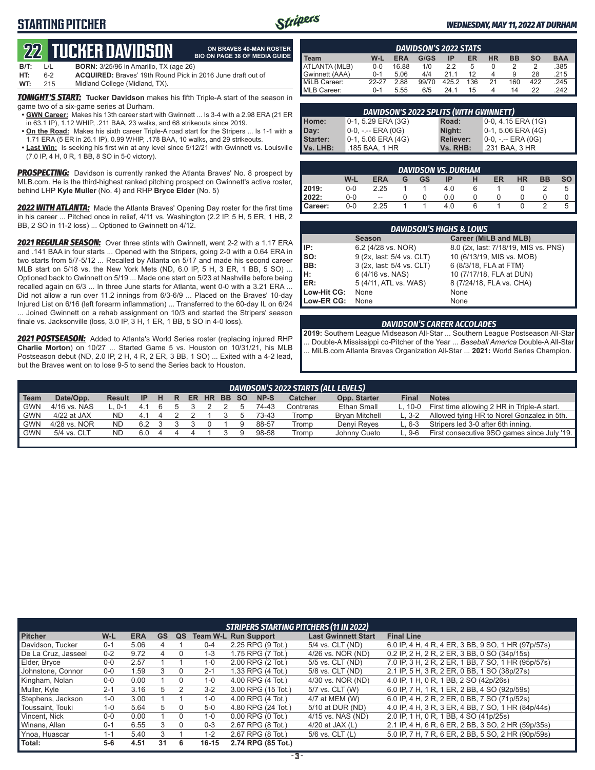### **STARTING PITCHER**



**ON BRAVES 40-MAN ROSTER BIO ON PAGE 38 OF MEDIA GUIDE**

#### *WEDNESDAY, MAY 11, 2022 AT DURHAM*

# **22****TUCKER DAVIDSON**

| B/T: | L/L | <b>BORN:</b> 3/25/96 in Amarillo, TX (age 26)                      |
|------|-----|--------------------------------------------------------------------|
| HT:  | 6-2 | <b>ACQUIRED:</b> Braves' 19th Round Pick in 2016 June draft out of |
| WT:  | 215 | Midland College (Midland, TX).                                     |

*TONIGHT'S START:* **Tucker Davidson** makes his fifth Triple-A start of the season in game two of a six-game series at Durham.

- **• GWN Career:** Makes his 13th career start with Gwinnett ... Is 3-4 with a 2.98 ERA (21 ER in 63.1 IP), 1.12 WHIP, .211 BAA, 23 walks, and 68 strikeouts since 2019.
- **• On the Road:** Makes his sixth career Triple-A road start for the Stripers ... Is 1-1 with a 1.71 ERA (5 ER in 26.1 IP), 0.99 WHIP, .178 BAA, 10 walks, and 29 strikeouts.
- **• Last Win:** Is seeking his first win at any level since 5/12/21 with Gwinnett vs. Louisville (7.0 IP, 4 H, 0 R, 1 BB, 8 SO in 5-0 victory).

**PROSPECTING:** Davidson is currently ranked the Atlanta Braves' No. 8 prospect by MLB.com. He is the third-highest ranked pitching prospect on Gwinnett's active roster, behind LHP **Kyle Muller** (No. 4) and RHP **Bryce Elder** (No. 5)

*2022 WITH ATLANTA:* Made the Atlanta Braves' Opening Day roster for the first time in his career ... Pitched once in relief, 4/11 vs. Washington (2.2 IP, 5 H, 5 ER, 1 HB, 2 BB, 2 SO in 11-2 loss) ... Optioned to Gwinnett on 4/12.

*2021 REGULAR SEASON:* Over three stints with Gwinnett, went 2-2 with a 1.17 ERA and .141 BAA in four starts ... Opened with the Stripers, going 2-0 with a 0.64 ERA in two starts from 5/7-5/12 ... Recalled by Atlanta on 5/17 and made his second career MLB start on 5/18 vs. the New York Mets (ND, 6.0 IP, 5 H, 3 ER, 1 BB, 5 SO) ... Optioned back to Gwinnett on 5/19 ... Made one start on 5/23 at Nashville before being recalled again on 6/3 ... In three June starts for Atlanta, went 0-0 with a 3.21 ERA ... Did not allow a run over 11.2 innings from 6/3-6/9 ... Placed on the Braves' 10-day Injured List on 6/16 (left forearm inflammation) ... Transferred to the 60-day IL on 6/24 ... Joined Gwinnett on a rehab assignment on 10/3 and started the Stripers' season finale vs. Jacksonville (loss, 3.0 IP, 3 H, 1 ER, 1 BB, 5 SO in 4-0 loss).

*2021 POSTSEASON:* Added to Atlanta's World Series roster (replacing injured RHP **Charlie Morton**) on 10/27 ... Started Game 5 vs. Houston on 10/31/21, his MLB Postseason debut (ND, 2.0 IP, 2 H, 4 R, 2 ER, 3 BB, 1 SO) ... Exited with a 4-2 lead, but the Braves went on to lose 9-5 to send the Series back to Houston.

| <b>DAVIDSON'S 2022 STATS</b> |         |            |       |       |     |    |           |     |            |  |  |
|------------------------------|---------|------------|-------|-------|-----|----|-----------|-----|------------|--|--|
| <b>Team</b>                  | W-L     | <b>ERA</b> | G/GS  | ΙP    | ER  | НR | <b>BB</b> | so  | <b>BAA</b> |  |  |
| ATLANTA (MLB)                | $0 - 0$ | 16.88      | 1/0   | 22    | 5   |    |           |     | .385       |  |  |
| Gwinnett (AAA)               | $0 - 1$ | 5.06       | 4/4   | 211   | 12  |    | 9         | 28  | .215       |  |  |
| MiLB Career:                 | 22-27   | 2.88       | 99/70 | 425.2 | 136 | 21 | 160       | 422 | .245       |  |  |
| MLB Career:                  | $0 - 1$ | 5.55       | 6/5   | 24.1  | 15  |    | 14        | 22  | 242        |  |  |

| DAVIDSON'S 2022 SPLITS (WITH GWINNETT) |                      |                  |                       |  |  |  |  |  |  |
|----------------------------------------|----------------------|------------------|-----------------------|--|--|--|--|--|--|
| Home:                                  | 0-1, 5.29 ERA (3G)   | Road:            | $0-0$ , 4.15 ERA (1G) |  |  |  |  |  |  |
| Day:                                   | 0-0, -.-- ERA (0G)   | Night:           | $0-1, 5.06$ ERA (4G)  |  |  |  |  |  |  |
| <b>Starter:</b>                        | $0-1, 5.06$ ERA (4G) | <b>Reliever:</b> | $0-0, - -$ ERA $(0G)$ |  |  |  |  |  |  |
| Vs. LHB:                               | .185 BAA, 1 HR       | Vs. RHB:         | .231 BAA, 3 HR        |  |  |  |  |  |  |

|                  | <b>DAVIDSON VS. DURHAM</b> |                          |   |    |     |   |    |           |           |  |  |  |  |  |
|------------------|----------------------------|--------------------------|---|----|-----|---|----|-----------|-----------|--|--|--|--|--|
|                  | W-L                        | <b>ERA</b>               | G | GS | IP  | н | ER | <b>HR</b> | <b>BB</b> |  |  |  |  |  |
| 2019:            | $0 - 0$                    | 2.25                     |   |    | 4.0 |   |    |           |           |  |  |  |  |  |
| 2022:            | $0-0$                      | $\overline{\phantom{a}}$ |   |    | 0.0 |   |    |           |           |  |  |  |  |  |
| <b>I</b> Career: | 0-0                        | 2.25                     |   |    | 4.0 |   |    |           |           |  |  |  |  |  |

|             | <b>DAVIDSON'S HIGHS &amp; LOWS</b> |                                      |  |  |  |  |  |  |  |  |  |
|-------------|------------------------------------|--------------------------------------|--|--|--|--|--|--|--|--|--|
|             | <b>Season</b>                      | Career (MiLB and MLB)                |  |  |  |  |  |  |  |  |  |
| IP:         | 6.2 (4/28 vs. NOR)                 | 8.0 (2x, last: 7/18/19, MIS vs. PNS) |  |  |  |  |  |  |  |  |  |
| so:         | 9 (2x, last: 5/4 vs. CLT)          | 10 (6/13/19, MIS vs. MOB)            |  |  |  |  |  |  |  |  |  |
| BB:         | 3 (2x, last: 5/4 vs. CLT)          | 6 (8/3/18, FLA at FTM)               |  |  |  |  |  |  |  |  |  |
| Iн:         | 6 (4/16 vs. NAS)                   | 10 (7/17/18, FLA at DUN)             |  |  |  |  |  |  |  |  |  |
| ER:         | 5 (4/11, ATL vs. WAS)              | 8 (7/24/18, FLA vs. CHA)             |  |  |  |  |  |  |  |  |  |
| Low-Hit CG: | None                               | None                                 |  |  |  |  |  |  |  |  |  |
| Low-ER CG:  | None                               | None                                 |  |  |  |  |  |  |  |  |  |

#### *DAVIDSON'S CAREER ACCOLADES*

**2019:** Southern League Midseason All-Star ... Southern League Postseason All-Star ... Double-A Mississippi co-Pitcher of the Year ... *Baseball America* Double-A All-Star ... MiLB.com Atlanta Braves Organization All-Star ... **2021:** World Series Champion.

|            | DAVIDSON'S 2022 STARTS (ALL LEVELS) |             |     |   |   |       |  |       |  |       |           |                       |           |                                             |
|------------|-------------------------------------|-------------|-----|---|---|-------|--|-------|--|-------|-----------|-----------------------|-----------|---------------------------------------------|
| Team       | Date/Opp.                           | Result      | -IP | H | R | ER HR |  | BB SO |  | NP-S  | Catcher   | Opp. Starter          | Final     | <b>Notes</b>                                |
| <b>GWN</b> | 4/16 vs. NAS                        | $\cdot$ 0-1 | 41  |   |   |       |  |       |  | 74-43 | Contreras | Ethan Small           | $L. 10-0$ | First time allowing 2 HR in Triple-A start. |
| <b>GWN</b> | 4/22 at JAX                         | ND.         | 41  |   |   |       |  |       |  | 73-43 | Tromp     | <b>Brvan Mitchell</b> | $L.3-2$   | Allowed tying HR to Norel Gonzalez in 5th.  |
| <b>GWN</b> | 4/28 vs. NOR                        | <b>ND</b>   | 62  |   |   |       |  |       |  | 88-57 | Tromp     | Denvi Reves           | L. 6-3    | Stripers led 3-0 after 6th inning.          |
| <b>GWN</b> | 5/4 vs. CLT                         | <b>ND</b>   | 6.0 |   |   |       |  |       |  | 98-58 | Tromp     | Johnny Cueto          | $L.9-6$   | First consecutive 9SO games since July '19. |
|            |                                     |             |     |   |   |       |  |       |  |       |           |                       |           |                                             |

|                     |         |            |           |    |           | <b>STRIPERS STARTING PITCHERS (11 IN 2022)</b> |                            |                                                    |
|---------------------|---------|------------|-----------|----|-----------|------------------------------------------------|----------------------------|----------------------------------------------------|
| <b>Pitcher</b>      | W-L     | <b>ERA</b> | <b>GS</b> | QS |           | <b>Team W-L Run Support</b>                    | <b>Last Gwinnett Start</b> | <b>Final Line</b>                                  |
| Davidson, Tucker    | $0 - 1$ | 5.06       | 4         |    | $0 - 4$   | 2.25 RPG (9 Tot.)                              | 5/4 vs. CLT (ND)           | 6.0 IP, 4 H, 4 R, 4 ER, 3 BB, 9 SO, 1 HR (97p/57s) |
| De La Cruz, Jasseel | $0 - 2$ | 9.72       |           |    | $1 - 3$   | 1.75 RPG (7 Tot.)                              | 4/26 vs. NOR (ND)          | 0.2 IP, 2 H, 2 R, 2 ER, 3 BB, 0 SO (34p/15s)       |
| Elder, Bryce        | $0-0$   | 2.57       |           |    | $1 - 0$   | 2.00 RPG (2 Tot.)                              | 5/5 vs. CLT (ND)           | 7.0 IP, 3 H, 2 R, 2 ER, 1 BB, 7 SO, 1 HR (95p/57s) |
| Johnstone, Connor   | $0 - 0$ | .59        |           |    | $2 - 1$   | 1.33 RPG (4 Tot.)                              | 5/8 vs. CLT (ND)           | 2.1 IP, 5 H, 3 R, 2 ER, 0 BB, 1 SO (38p/27s)       |
| Kingham, Nolan      | $0 - 0$ | 0.00       |           |    | $1 - 0$   | 4.00 RPG (4 Tot.)                              | 4/30 vs. NOR (ND)          | 4.0 IP, 1 H, 0 R, 1 BB, 2 SO (42p/26s)             |
| Muller, Kyle        | $2 - 1$ | 3.16       | 5         |    | $3 - 2$   | 3.00 RPG (15 Tot.)                             | 5/7 vs. CLT (W)            | 6.0 IP, 7 H, 1 R, 1 ER, 2 BB, 4 SO (92p/59s)       |
| Stephens, Jackson   | $1 - 0$ | 3.00       |           |    | $1 - 0$   | 4.00 RPG (4 Tot.)                              | 4/7 at MEM (W)             | 6.0 IP, 4 H, 2 R, 2 ER, 0 BB, 7 SO (71p/52s)       |
| Toussaint, Touki    | $1 - 0$ | 5.64       | 5         |    | $5-0$     | 4.80 RPG (24 Tot.)                             | 5/10 at DUR (ND)           | 4.0 IP, 4 H, 3 R, 3 ER, 4 BB, 7 SO, 1 HR (84p/44s) |
| Vincent, Nick       | $0-0$   | 0.00       |           | 0  | $1 - 0$   | $0.00$ RPG $(0$ Tot.)                          | 4/15 vs. NAS (ND)          | 2.0 IP, 1 H, 0 R, 1 BB, 4 SO (41p/25s)             |
| Winans, Allan       | $0 - 1$ | 6.55       | 3         | 0  | $0 - 3$   | 2.67 RPG (8 Tot.)                              | 4/20 at JAX $(L)$          | 2.1 IP, 4 H, 6 R, 6 ER, 2 BB, 3 SO, 2 HR (59p/35s) |
| Ynoa, Huascar       | $1 - 1$ | 5.40       | 3         |    | $1 - 2$   | 2.67 RPG (8 Tot.)                              | $5/6$ vs. CLT $(L)$        | 5.0 IP, 7 H, 7 R, 6 ER, 2 BB, 5 SO, 2 HR (90p/59s) |
| Total:              | $5-6$   | 4.51       | 31        | 6  | $16 - 15$ | 2.74 RPG (85 Tot.)                             |                            |                                                    |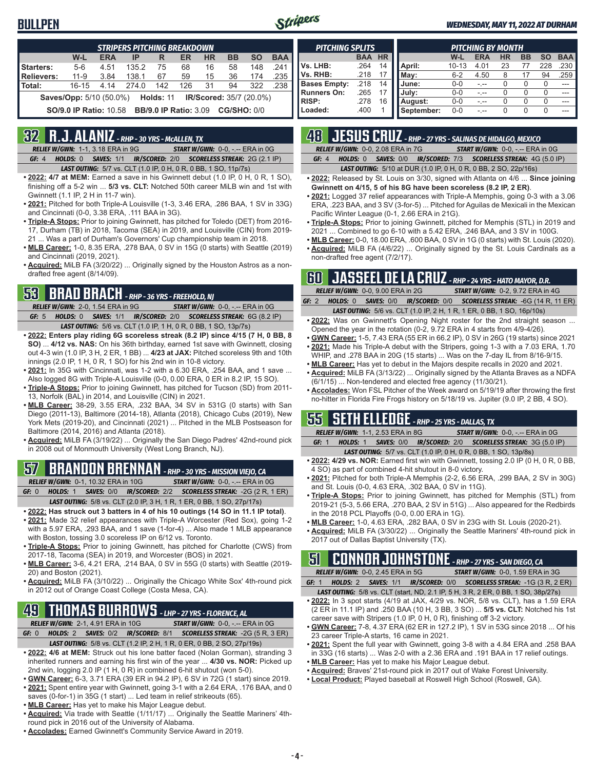### **BULLPEN**



#### *WEDNESDAY, MAY 11, 2022 AT DURHAM*

|                                                                         | <b>STRIPERS PITCHING BREAKDOWN</b> |            |       |                              |     |           |                    |           |            |  |  |  |  |
|-------------------------------------------------------------------------|------------------------------------|------------|-------|------------------------------|-----|-----------|--------------------|-----------|------------|--|--|--|--|
|                                                                         | W-L                                | <b>ERA</b> | IP    | R                            | ER  | <b>HR</b> | <b>BB</b>          | <b>SO</b> | <b>BAA</b> |  |  |  |  |
| <b>Starters:</b>                                                        | $5-6$                              | 4.51       | 135.2 | 75                           | 68  | 16        | 58                 | 148       | 241        |  |  |  |  |
| Relievers:                                                              | $11 - 9$                           | 3.84       | 138.1 | 67                           | 59  | 15        | 36                 | 174       | .235       |  |  |  |  |
| Total:                                                                  | $16 - 15$                          | 4.14       | 274.0 | 142                          | 126 | 31        | 94                 | 322       | .238       |  |  |  |  |
| <b>Saves/Opp:</b> 5/10 (50.0%) <b>Holds: 11 IR/Scored:</b> 35/7 (20.0%) |                                    |            |       |                              |     |           |                    |           |            |  |  |  |  |
|                                                                         | <b>SO/9.0 IP Ratio: 10.58</b>      |            |       | <b>BB/9.0 IP Ratio: 3.09</b> |     |           | <b>CG/SHO: 0/0</b> |           |            |  |  |  |  |

### **32 R.J. ALANIZ** *- RHP - 30 YRS - McALLEN, TX*

*RELIEF W/GWN:*1-1, 3.18 ERA in 9G *START W/GWN:*0-0, -.-- ERA in 0G *GF:*4 *HOLDS:*0 *SAVES:*1/1 *IR/SCORED:*2/0 *SCORELESS STREAK:*2G (2.1 IP)

*LAST OUTING:*5/7 vs. CLT (1.0 IP, 0 H, 0 R, 0 BB, 1 SO, 11p/7s)

- **• 2022: 4/7 at MEM:** Earned a save in his Gwinnett debut (1.0 IP, 0 H, 0 R, 1 SO), finishing off a 5-2 win ... **5/3 vs. CLT:** Notched 50th career MiLB win and 1st with Gwinnett (1.1 IP, 2 H in 11-7 win).
- **• 2021:** Pitched for both Triple-A Louisville (1-3, 3.46 ERA, .286 BAA, 1 SV in 33G) and Cincinnati (0-0, 3.38 ERA, .111 BAA in 3G).
- **• Triple-A Stops:** Prior to joining Gwinnett, has pitched for Toledo (DET) from 2016- 17, Durham (TB) in 2018, Tacoma (SEA) in 2019, and Louisville (CIN) from 2019- 21 ... Was a part of Durham's Governors' Cup championship team in 2018.
- **• MLB Career:** 1-0, 8.35 ERA, .278 BAA, 0 SV in 15G (0 starts) with Seattle (2019) and Cincinnati (2019, 2021).
- **• Acquired:** MiLB FA (3/20/22) ... Originally signed by the Houston Astros as a nondrafted free agent (8/14/09).

### **53 BRAD BRACH** *- RHP - 36 YRS - FREEHOLD, NJ*

*RELIEF W/GWN:*2-0, 1.54 ERA in 9G *START W/GWN:*0-0, -.-- ERA in 0G *GF:*5 *HOLDS:*0 *SAVES:*1/1 *IR/SCORED:*2/0 *SCORELESS STREAK:*6G (8.2 IP) *LAST OUTING:*5/6 vs. CLT (1.0 IP, 1 H, 0 R, 0 BB, 1 SO, 13p/7s)

- **• 2022: Enters play riding 6G scoreless streak (8.2 IP) since 4/15 (7 H, 0 BB, 8 SO)** ... **4/12 vs. NAS:** On his 36th birthday, earned 1st save with Gwinnett, closing out 4-3 win (1.0 IP, 3 H, 2 ER, 1 BB) ... **4/23 at JAX:** Pitched scoreless 9th and 10th innings (2.0 IP, 1 H, 0 R, 1 SO) for his 2nd win in 10-8 victory.
- **• 2021:** In 35G with Cincinnati, was 1-2 with a 6.30 ERA, .254 BAA, and 1 save ... Also logged 8G with Triple-A Louisville (0-0, 0.00 ERA, 0 ER in 8.2 IP, 15 SO).
- **• Triple-A Stops:** Prior to joining Gwinnett, has pitched for Tucson (SD) from 2011- 13, Norfolk (BAL) in 2014, and Louisville (CIN) in 2021.
- **• MLB Career:** 38-29, 3.55 ERA, .232 BAA, 34 SV in 531G (0 starts) with San Diego (2011-13), Baltimore (2014-18), Atlanta (2018), Chicago Cubs (2019), New York Mets (2019-20), and Cincinnati (2021) ... Pitched in the MLB Postseason for Baltimore (2014, 2016) and Atlanta (2018).
- **• Acquired:** MiLB FA (3/19/22) ... Originally the San Diego Padres' 42nd-round pick in 2008 out of Monmouth University (West Long Branch, NJ).

#### **57 BRANDON BRENNAN** *- RHP - 30 YRS - MISSION VIEJO, CA RELIEF W/GWN:*0-1, 10.32 ERA in 10G *START W/GWN:*0-0, -.-- ERA in 0G

*GF:*0 *HOLDS:*1 *SAVES:*0/0 *IR/SCORED:*2/2 *SCORELESS STREAK:*-2G (2 R, 1 ER)

- *LAST OUTING:*5/8 vs. CLT (2.0 IP, 3 H, 1 R, 1 ER, 0 BB, 1 SO, 27p/17s)
- **• 2022: Has struck out 3 batters in 4 of his 10 outings (14 SO in 11.1 IP total)**. **• 2021:** Made 32 relief appearances with Triple-A Worcester (Red Sox), going 1-2 with a 5.97 ERA, .293 BAA, and 1 save (1-for-4) ... Also made 1 MLB appearance
- with Boston, tossing 3.0 scoreless IP on 6/12 vs. Toronto. **• Triple-A Stops:** Prior to joining Gwinnett, has pitched for Charlotte (CWS) from
- 2017-18, Tacoma (SEA) in 2019, and Worcester (BOS) in 2021. **• MLB Career:** 3-6, 4.21 ERA, .214 BAA, 0 SV in 55G (0 starts) with Seattle (2019-
- 20) and Boston (2021).
- **• Acquired:** MiLB FA (3/10/22) ... Originally the Chicago White Sox' 4th-round pick in 2012 out of Orange Coast College (Costa Mesa, CA).

## **49 THOMAS BURROWS** *- LHP - 27 YRS - FLORENCE, AL*

*RELIEF W/GWN:*2-1, 4.91 ERA in 10G *START W/GWN:*0-0, -.-- ERA in 0G *GF:*0 *HOLDS:*2 *SAVES:*0/2 *IR/SCORED:*8/1 *SCORELESS STREAK:*-2G (5 R, 3 ER)

- *LAST OUTING:*5/8 vs. CLT (1.2 IP, 2 H, 1 R, 0 ER, 0 BB, 2 SO, 27p/19s)
- **• 2022: 4/6 at MEM:** Struck out his lone batter faced (Nolan Gorman), stranding 3 inherited runners and earning his first win of the year ... **4/30 vs. NOR:** Picked up 2nd win, logging 2.0 IP (1 H, 0 R) in combined 6-hit shutout (won 5-0).
- **• GWN Career:** 6-3, 3.71 ERA (39 ER in 94.2 IP), 6 SV in 72G (1 start) since 2019.
- **• 2021:** Spent entire year with Gwinnett, going 3-1 with a 2.64 ERA, .176 BAA, and 0
- saves (0-for-1) in 35G (1 start) ... Led team in relief strikeouts (65).
- **• MLB Career:** Has yet to make his Major League debut.
- **• Acquired:** Via trade with Seattle (1/11/17) ... Originally the Seattle Mariners' 4thround pick in 2016 out of the University of Alabama.
- **• Accolades:** Earned Gwinnett's Community Service Award in 2019.

| <b>PITCHING SPLITS</b> |            |           |            | <b>PITCHING BY MONTH</b> |            |           |           |     |            |  |  |  |
|------------------------|------------|-----------|------------|--------------------------|------------|-----------|-----------|-----|------------|--|--|--|
|                        | <b>BAA</b> | <b>HR</b> |            | W-L                      | <b>ERA</b> | <b>HR</b> | <b>BB</b> | SΟ  | <b>BAA</b> |  |  |  |
| Vs. LHB:               | .264       | 14        | April:     | $10 - 13$                | 4.01       | 23        |           | 228 | .230       |  |  |  |
| Vs. RHB:               | .218       | 17        | Mav:       | $6 - 2$                  | 4.50       | 8         |           | 94  | .259       |  |  |  |
| <b>Bases Empty:</b>    | .218       | 14        | June:      | $0 - 0$                  |            | O         |           |     |            |  |  |  |
| <b>Runners On:</b>     | .265       | 17        | July:      | $0 - 0$                  |            |           |           |     | ---        |  |  |  |
| <b>RISP:</b>           | .278       | 16        | August:    | $0 - 0$                  |            |           |           |     | ---        |  |  |  |
| Loaded:                | .400       |           | September: | $0 - 0$                  |            | U         | 0         |     |            |  |  |  |

### **48 JESUS CRUZ** *- RHP - 27 YRS - SALINAS DE HIDALGO, MEXICO*

*RELIEF W/GWN:*0-0, 2.08 ERA in 7G *START W/GWN:*0-0, -.-- ERA in 0G *GF:*4 *HOLDS:*0 *SAVES:*0/0 *IR/SCORED:*7/3 *SCORELESS STREAK:*4G (5.0 IP)

*LAST OUTING:*5/10 at DUR (1.0 IP, 0 H, 0 R, 0 BB, 2 SO, 22p/16s)

- **• 2022:** Released by St. Louis on 3/30, signed with Atlanta on 4/6 ... **Since joining Gwinnett on 4/15, 5 of his 8G have been scoreless (8.2 IP, 2 ER)**.
- **• 2021:** Logged 37 relief appearances with Triple-A Memphis, going 0-3 with a 3.06 ERA, .223 BAA, and 3 SV (3-for-5) ... Pitched for Aguilas de Mexicali in the Mexican Pacific Winter League (0-1, 2.66 ERA in 21G).
- **• Triple-A Stops:** Prior to joining Gwinnett, pitched for Memphis (STL) in 2019 and 2021 ... Combined to go 6-10 with a 5.42 ERA, .246 BAA, and 3 SV in 100G.
- **• MLB Career:** 0-0, 18.00 ERA, .600 BAA, 0 SV in 1G (0 starts) with St. Louis (2020). **• Acquired:** MiLB FA (4/6/22) ... Originally signed by the St. Louis Cardinals as a
- non-drafted free agent (7/2/17).

### **60 JASSEEL DE LA CRUZ** *- RHP - 24 YRS - HATO MAYOR, D.R.*

|  | <b>RELIEF W/GWN: 0-0, 9.00 ERA in 2G</b>                                        |  | <b>START W/GWN: 0-2, 9.72 ERA in 4G</b> |  |  |
|--|---------------------------------------------------------------------------------|--|-----------------------------------------|--|--|
|  | GF: 2 HOLDS: 0 SAVES: 0/0 IR/SCORED: 0/0 SCORELESS STREAK: -6G (14 R, 11 ER)    |  |                                         |  |  |
|  | <b>IACTOUTING:</b> $E/E_{MS}$ $CIT/10$ ID $2H$ $1D$ $1ED$ $0BP$ $150$ $16p/10s$ |  |                                         |  |  |

- *LAST OUTING:*5/6 vs. CLT (1.0 IP, 2 H, 1 R, 1 ER, 0 BB, 1 SO, 16p/10s) **• 2022:** Was on Gwinnett's Opening Night roster for the 2nd straight season ... Opened the year in the rotation (0-2, 9.72 ERA in 4 starts from 4/9-4/26).
- **• GWN Career:** 1-5, 7.43 ERA (55 ER in 66.2 IP), 0 SV in 26G (19 starts) since 2021 **• 2021:** Made his Triple-A debut with the Stripers, going 1-3 with a 7.03 ERA, 1.70
- WHIP, and .278 BAA in 20G (15 starts) ... Was on the 7-day IL from 8/16-9/15. **• MLB Career:** Has yet to debut in the Majors despite recalls in 2020 and 2021.
- **• Acquired:** MiLB FA (3/13/22) ... Originally signed by the Atlanta Braves as a NDFA (6/1/15) ... Non-tendered and elected free agency (11/30/21).
- **• Accolades:** Won FSL Pitcher of the Week award on 5/19/19 after throwing the first no-hitter in Florida Fire Frogs history on 5/18/19 vs. Jupiter (9.0 IP, 2 BB, 4 SO).

#### **55 SETH ELLEDGE** *- RHP - 25 YRS - DALLAS, TX*

*RELIEF W/GWN:*1-1, 2.53 ERA in 8G *START W/GWN:*0-0, -.-- ERA in 0G *GF:*1 *HOLDS:*1 *SAVES:*0/0 *IR/SCORED:*2/0 *SCORELESS STREAK:*3G (5.0 IP)

- *LAST OUTING:*5/7 vs. CLT (1.0 IP, 0 H, 0 R, 0 BB, 1 SO, 13p/8s)
- **• 2022: 4/29 vs. NOR:** Earned first win with Gwinnett, tossing 2.0 IP (0 H, 0 R, 0 BB, 4 SO) as part of combined 4-hit shutout in 8-0 victory.
- **• 2021:** Pitched for both Triple-A Memphis (2-2, 6.56 ERA, .299 BAA, 2 SV in 30G) and St. Louis (0-0, 4.63 ERA, .302 BAA, 0 SV in 11G).
- **• Triple-A Stops:** Prior to joining Gwinnett, has pitched for Memphis (STL) from 2019-21 (5-3, 5.66 ERA, .270 BAA, 2 SV in 51G) ... Also appeared for the Redbirds in the 2018 PCL Playoffs (0-0, 0.00 ERA in 1G).
- **• MLB Career:** 1-0, 4.63 ERA, .282 BAA, 0 SV in 23G with St. Louis (2020-21).
- **• Acquired:** MiLB FA (3/30/22) ... Originally the Seattle Mariners' 4th-round pick in 2017 out of Dallas Baptist University (TX).

### **51 CONNOR JOHNSTONE** *- RHP - 27 YRS - SAN DIEGO, CA*

*RELIEF W/GWN:*0-0, 2.45 ERA in 5G *START W/GWN:*0-0, 1.59 ERA in 3G

*GF:*1 *HOLDS:*2 *SAVES:*1/1 *IR/SCORED:*0/0 *SCORELESS STREAK:*-1G (3 R, 2 ER) *LAST OUTING:*5/8 vs. CLT (start, ND, 2.1 IP, 5 H, 3 R, 2 ER, 0 BB, 1 SO, 38p/27s)

- **• 2022:** In 3 spot starts (4/19 at JAX, 4/29 vs. NOR, 5/8 vs. CLT), has a 1.59 ERA (2 ER in 11.1 IP) and .250 BAA (10 H, 3 BB, 3 SO) ... **5/5 vs. CLT:** Notched his 1st career save with Stripers (1.0 IP, 0 H, 0 R), finishing off 3-2 victory.
- **• GWN Career:** 7-8, 4.37 ERA (62 ER in 127.2 IP), 1 SV in 53G since 2018 ... Of his 23 career Triple-A starts, 16 came in 2021.
- **• 2021:** Spent the full year with Gwinnett, going 3-8 with a 4.84 ERA and .258 BAA in 33G (16 starts) ... Was 2-0 with a 2.36 ERA and .191 BAA in 17 relief outings. **• MLB Career:** Has yet to make his Major League debut.
- 
- **• Acquired:** Braves' 21st-round pick in 2017 out of Wake Forest University. **• Local Product:** Played baseball at Roswell High School (Roswell, GA).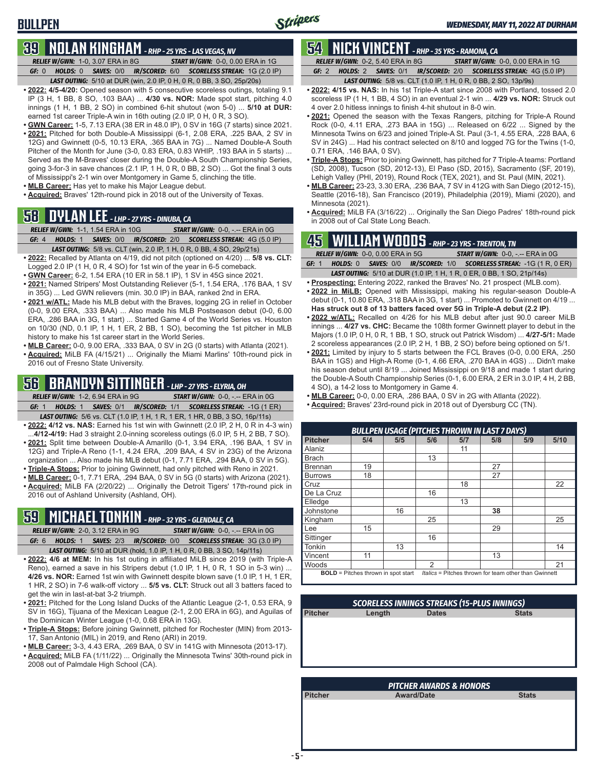**BULLPEN**

### **39 NOLAN KINGHAM** *- RHP - 25 YRS - LAS VEGAS, NV*

*RELIEF W/GWN:*1-0, 3.07 ERA in 8G *START W/GWN:*0-0, 0.00 ERA in 1G *GF:*0 *HOLDS:*0 *SAVES:*0/0 *IR/SCORED:*6/0 *SCORELESS STREAK:*1G (2.0 IP) *LAST OUTING:*5/10 at DUR (win, 2.0 IP, 0 H, 0 R, 0 BB, 3 SO, 25p/20s)

- **• 2022: 4/5-4/20:** Opened season with 5 consecutive scoreless outings, totaling 9.1 IP (3 H, 1 BB, 8 SO, .103 BAA) ... **4/30 vs. NOR:** Made spot start, pitching 4.0 innings (1 H, 1 BB, 2 SO) in combined 6-hit shutout (won 5-0) ... **5/10 at DUR:** earned 1st career Triple-A win in 16th outing (2.0 IP, 0 H, 0 R, 3 SO).
- **• GWN Career:** 1-5, 7.13 ERA (38 ER in 48.0 IP), 0 SV in 16G (7 starts) since 2021. **• 2021:** Pitched for both Double-A Mississippi (6-1, 2.08 ERA, .225 BAA, 2 SV in 12G) and Gwinnett (0-5, 10.13 ERA, .365 BAA in 7G) ... Named Double-A South Pitcher of the Month for June (3-0, 0.83 ERA, 0.83 WHIP, .193 BAA in 5 starts) ... Served as the M-Braves' closer during the Double-A South Championship Series, going 3-for-3 in save chances (2.1 IP, 1 H, 0 R, 0 BB, 2 SO) ... Got the final 3 outs
- of Mississippi's 2-1 win over Montgomery in Game 5, clinching the title.
- **• MLB Career:** Has yet to make his Major League debut.
- **• Acquired:** Braves' 12th-round pick in 2018 out of the University of Texas.

# **58 DYLAN LEE** *- LHP - 27 YRS - DINUBA, CA*<br>*RELIEF W/GWN:* **1-1, 1.54 ERA in 10G START**

*RELIEF W/GWN:*1-1, 1.54 ERA in 10G *START W/GWN:*0-0, -.-- ERA in 0G *GF:*4 *HOLDS:*1 *SAVES:*0/0 *IR/SCORED:*2/0 *SCORELESS STREAK:*4G (5.0 IP)

- *LAST OUTING:*5/8 vs. CLT (win, 2.0 IP, 1 H, 0 R, 0 BB, 4 SO, 29p/21s) **• 2022:** Recalled by Atlanta on 4/19, did not pitch (optioned on 4/20) ... **5/8 vs. CLT:**
- Logged 2.0 IP (1 H, 0 R, 4 SO) for 1st win of the year in 6-5 comeback. **• GWN Career:** 6-2, 1.54 ERA (10 ER in 58.1 IP), 1 SV in 45G since 2021.
- 
- **• 2021:** Named Stripers' Most Outstanding Reliever (5-1, 1.54 ERA, .176 BAA, 1 SV in 35G) ... Led GWN relievers (min. 30.0 IP) in BAA, ranked 2nd in ERA.
- **• 2021 w/ATL:** Made his MLB debut with the Braves, logging 2G in relief in October (0-0, 9.00 ERA, .333 BAA) ... Also made his MLB Postseason debut (0-0, 6.00 ERA, .286 BAA in 3G, 1 start) ... Started Game 4 of the World Series vs. Houston on 10/30 (ND, 0.1 IP, 1 H, 1 ER, 2 BB, 1 SO), becoming the 1st pitcher in MLB history to make his 1st career start in the World Series.
- **• MLB Career:** 0-0, 9.00 ERA, .333 BAA, 0 SV in 2G (0 starts) with Atlanta (2021).
- **• Acquired:** MiLB FA (4/15/21) ... Originally the Miami Marlins' 10th-round pick in 2016 out of Fresno State University.

### **56 BRANDYN SITTINGER** *- LHP - 27 YRS - ELYRIA, OH*

- *RELIEF W/GWN:*1-2, 6.94 ERA in 9G *START W/GWN:*0-0, -.-- ERA in 0G *GF:*1 *HOLDS:*1 *SAVES:*0/1 *IR/SCORED:*1/1 *SCORELESS STREAK:*-1G (1 ER)
- *LAST OUTING:*5/6 vs. CLT (1.0 IP, 1 H, 1 R, 1 ER, 1 HR, 0 BB, 3 SO, 16p/11s) **• 2022: 4/12 vs. NAS:** Earned his 1st win with Gwinnett (2.0 IP, 2 H, 0 R in 4-3 win) ...**4/12-4/19:** Had 3 straight 2.0-inning scoreless outings (6.0 IP, 5 H, 2 BB, 7 SO).
- **• 2021:** Split time between Double-A Amarillo (0-1, 3.94 ERA, .196 BAA, 1 SV in 12G) and Triple-A Reno (1-1, 4.24 ERA, .209 BAA, 4 SV in 23G) of the Arizona organization ... Also made his MLB debut (0-1, 7.71 ERA, .294 BAA, 0 SV in 5G).
- **• Triple-A Stops:** Prior to joining Gwinnett, had only pitched with Reno in 2021.
- **• MLB Career:** 0-1, 7.71 ERA, .294 BAA, 0 SV in 5G (0 starts) with Arizona (2021). **• Acquired:** MiLB FA (2/20/22) ... Originally the Detroit Tigers' 17th-round pick in 2016 out of Ashland University (Ashland, OH).

### **59 MICHAEL TONKIN** *- RHP - 32 YRS - GLENDALE, CA*

- *RELIEF W/GWN:*2-0, 3.12 ERA in 9G *START W/GWN:*0-0, -.-- ERA in 0G *GF:*6 *HOLDS:*1 *SAVES:*2/3 *IR/SCORED:*0/0 *SCORELESS STREAK:*3G (3.0 IP)
- *LAST OUTING:*5/10 at DUR (hold, 1.0 IP, 1 H, 0 R, 0 BB, 3 SO, 14p/11s) **• 2022: 4/6 at MEM:** In his 1st outing in affiliated MiLB since 2019 (with Triple-A Reno), earned a save in his Stripers debut (1.0 IP, 1 H, 0 R, 1 SO in 5-3 win) ... **4/26 vs. NOR:** Earned 1st win with Gwinnett despite blown save (1.0 IP, 1 H, 1 ER, 1 HR, 2 SO) in 7-6 walk-off victory ... **5/5 vs. CLT:** Struck out all 3 batters faced to
- get the win in last-at-bat 3-2 triumph. **• 2021:** Pitched for the Long Island Ducks of the Atlantic League (2-1, 0.53 ERA, 9 SV in 16G), Tijuana of the Mexican League (2-1, 2.00 ERA in 6G), and Aguilas of the Dominican Winter League (1-0, 0.68 ERA in 13G).
- **• Triple-A Stops:** Before joining Gwinnett, pitched for Rochester (MIN) from 2013- 17, San Antonio (MIL) in 2019, and Reno (ARI) in 2019.
- **• MLB Career:** 3-3, 4.43 ERA, .269 BAA, 0 SV in 141G with Minnesota (2013-17).
- **• Acquired:** MiLB FA (1/11/22) ... Originally the Minnesota Twins' 30th-round pick in 2008 out of Palmdale High School (CA).

### **54 NICK VINCENT** *- RHP - 35 YRS - RAMONA, CA*

*RELIEF W/GWN:*0-2, 5.40 ERA in 8G *START W/GWN:*0-0, 0.00 ERA in 1G *GF:*2 *HOLDS:*2 *SAVES:*0/1 *IR/SCORED:*2/0 *SCORELESS STREAK:*4G (5.0 IP)

- *LAST OUTING:*5/8 vs. CLT (1.0 IP, 1 H, 0 R, 0 BB, 2 SO, 13p/9s)
- **• 2022: 4/15 vs. NAS:** In his 1st Triple-A start since 2008 with Portland, tossed 2.0 scoreless IP (1 H, 1 BB, 4 SO) in an eventual 2-1 win ... **4/29 vs. NOR:** Struck out 4 over 2.0 hitless innings to finish 4-hit shutout in 8-0 win.
- **• 2021:** Opened the season with the Texas Rangers, pitching for Triple-A Round Rock (0-0, 4.11 ERA, .273 BAA in 15G) ... Released on 6/22 ... Signed by the Minnesota Twins on 6/23 and joined Triple-A St. Paul (3-1, 4.55 ERA, .228 BAA, 6 SV in 24G) ... Had his contract selected on 8/10 and logged 7G for the Twins (1-0, 0.71 ERA, .146 BAA, 0 SV).
- **• Triple-A Stops:** Prior to joining Gwinnett, has pitched for 7 Triple-A teams: Portland (SD, 2008), Tucson (SD, 2012-13), El Paso (SD, 2015), Sacramento (SF, 2019), Lehigh Valley (PHI, 2019), Round Rock (TEX, 2021), and St. Paul (MIN, 2021).
- **• MLB Career:** 23-23, 3.30 ERA, .236 BAA, 7 SV in 412G with San Diego (2012-15), Seattle (2016-18), San Francisco (2019), Philadelphia (2019), Miami (2020), and Minnesota (2021).
- **• Acquired:** MiLB FA (3/16/22) ... Originally the San Diego Padres' 18th-round pick in 2008 out of Cal State Long Beach.

### **45 WILLIAM WOODS** *- RHP - 23 YRS - TRENTON, TN*

|       | <b>RELIEF W/GWN: 0-0, 0.00 ERA in 5G</b> |  | <b>START W/GWN: 0-0, -.-- ERA in 0G</b>                                       |
|-------|------------------------------------------|--|-------------------------------------------------------------------------------|
| GF: 1 |                                          |  | <b>HOLDS: 0 SAVES: 0/0 IR/SCORED: 1/0 SCORELESS STREAK: -1G (1 R, 0 ER)</b>   |
|       |                                          |  | <b>LAST OUTING:</b> 5/10 at DUR (1.0 IP, 1 H, 1 R, 0 ER, 0 BB, 1 SO, 21p/14s) |

- **• Prospecting:** Entering 2022, ranked the Braves' No. 21 prospect (MLB.com). **• 2022 in MiLB:** Opened with Mississippi, making his regular-season Double-A debut (0-1, 10.80 ERA, .318 BAA in 3G, 1 start) ... Promoted to Gwinnett on 4/19 ...
- **Has struck out 8 of 13 batters faced over 5G in Triple-A debut (2.2 IP)**. **• 2022 w/ATL:** Recalled on 4/26 for his MLB debut after just 90.0 career MiLB innings ... **4/27 vs. CHC:** Became the 108th former Gwinnett player to debut in the
- Majors (1.0 IP, 0 H, 0 R, 1 BB, 1 SO, struck out Patrick Wisdom) ... **4/27-5/1:** Made 2 scoreless appearances (2.0 IP, 2 H, 1 BB, 2 SO) before being optioned on 5/1.
- **• 2021:** Limited by injury to 5 starts between the FCL Braves (0-0, 0.00 ERA, .250 BAA in 1GS) and High-A Rome (0-1, 4.66 ERA, .270 BAA in 4GS) ... Didn't make his season debut until 8/19 ... Joined Mississippi on 9/18 and made 1 start during the Double-A South Championship Series (0-1, 6.00 ERA, 2 ER in 3.0 IP, 4 H, 2 BB, 4 SO), a 14-2 loss to Montgomery in Game 4.
- **• MLB Career:** 0-0, 0.00 ERA, .286 BAA, 0 SV in 2G with Atlanta (2022).
- **• Acquired:** Braves' 23rd-round pick in 2018 out of Dyersburg CC (TN).

|                |                                            |     |                |     | <b>BULLPEN USAGE (PITCHES THROWN IN LAST 7 DAYS)</b>  |     |      |
|----------------|--------------------------------------------|-----|----------------|-----|-------------------------------------------------------|-----|------|
| <b>Pitcher</b> | 5/4                                        | 5/5 | 5/6            | 5/7 | 5/8                                                   | 5/9 | 5/10 |
| <b>Alaniz</b>  |                                            |     |                | 11  |                                                       |     |      |
| Brach          |                                            |     | 13             |     |                                                       |     |      |
| l Brennan      | 19                                         |     |                |     | 27                                                    |     |      |
| <b>Burrows</b> | 18                                         |     |                |     | 27                                                    |     |      |
| Cruz           |                                            |     |                | 18  |                                                       |     | 22   |
| De La Cruz     |                                            |     | 16             |     |                                                       |     |      |
| Elledge        |                                            |     |                | 13  |                                                       |     |      |
| Johnstone      |                                            | 16  |                |     | 38                                                    |     |      |
| Kingham        |                                            |     | 25             |     |                                                       |     | 25   |
| Lee            | 15                                         |     |                |     | 29                                                    |     |      |
| Sittinger      |                                            |     | 16             |     |                                                       |     |      |
| <b>Tonkin</b>  |                                            | 13  |                |     |                                                       |     | 14   |
| <b>Vincent</b> | 11                                         |     |                |     | 13                                                    |     |      |
| <b>Woods</b>   |                                            |     | $\mathfrak{p}$ |     |                                                       |     | 21   |
|                | <b>BOLD</b> = Pitches thrown in spot start |     |                |     | Italics = Pitches thrown for team other than Gwinnett |     |      |

| <b>SCORELESS INNINGS STREAKS (15-PLUS INNINGS)</b> |        |              |              |  |
|----------------------------------------------------|--------|--------------|--------------|--|
| <b>Pitcher</b>                                     | Length | <b>Dates</b> | <b>Stats</b> |  |
|                                                    |        |              |              |  |
|                                                    |        |              |              |  |
|                                                    |        |              |              |  |
|                                                    |        |              |              |  |
|                                                    |        |              |              |  |

| <b>PITCHER AWARDS &amp; HONORS</b> |                   |              |  |  |
|------------------------------------|-------------------|--------------|--|--|
| <b>Pitcher</b>                     | <b>Award/Date</b> | <b>Stats</b> |  |  |
|                                    |                   |              |  |  |
|                                    |                   |              |  |  |
|                                    |                   |              |  |  |
|                                    |                   |              |  |  |
|                                    |                   |              |  |  |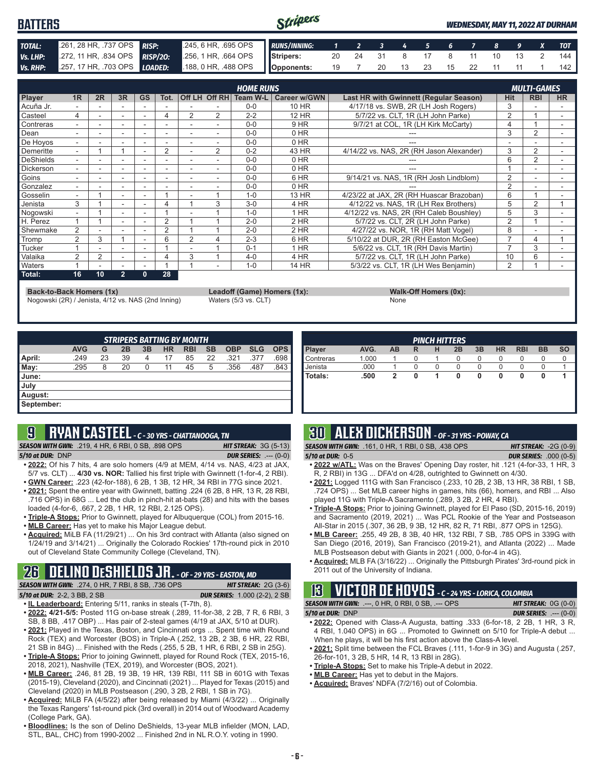#### Stripers **BATTERS** *WEDNESDAY, MAY 11, 2022 AT DURHAM TOTAL:* .261, 28 HR, .737 OPS *RISP:* .245, 6 HR, .695 OPS *RUNS/INNING: 1 2 3 4 5 6 7 8 9 X TOT Vs. LHP:* .272, 11 HR, .834 OPS *RISP/2O:* .256, 1 HR, .664 OPS **Stripers:** 20 24 31 8 17 8 11 10 13 2 144 *Vs. RHP:* .257, 17 HR, .703 OPS *LOADED:* .188, 0 HR, .488 OPS **Opponents:** 19 7 20 13 23 15 22 11 11 1 142

| <b>HOME RUNS</b> |                          |    |                          |           |      | <b>MULTI-GAMES</b> |                |          |              |                                          |                |                |           |
|------------------|--------------------------|----|--------------------------|-----------|------|--------------------|----------------|----------|--------------|------------------------------------------|----------------|----------------|-----------|
| Player           | 1R                       | 2R | 3R                       | <b>GS</b> | Tot. |                    | Off LH Off RH  | Team W-L | Career w/GWN | Last HR with Gwinnett (Regular Season)   | Hit            | <b>RBI</b>     | <b>HR</b> |
| Acuña Jr.        |                          |    |                          |           |      |                    |                | $0 - 0$  | 10 HR        | 4/17/18 vs. SWB, 2R (LH Josh Rogers)     |                |                |           |
| Casteel          | 4                        |    |                          | -         |      | 2                  | $\overline{2}$ | $2 - 2$  | <b>12 HR</b> | 5/7/22 vs. CLT, 1R (LH John Parke)       | 2              |                |           |
| Contreras        |                          |    |                          |           |      |                    |                | $0 - 0$  | 9 HR         | 9/7/21 at COL, 1R (LH Kirk McCarty)      | 4              |                |           |
| Dean             |                          |    |                          | ٠         | ۰    |                    | ٠              | $0 - 0$  | 0 HR         |                                          | 3              | 2              |           |
| De Hoyos         | -                        |    |                          |           |      |                    |                | $0 - 0$  | $0$ HR       |                                          |                |                |           |
| Demeritte        |                          |    |                          |           | 2    |                    | $\overline{2}$ | $0 - 2$  | 43 HR        | 4/14/22 vs. NAS, 2R (RH Jason Alexander) | 3              | $\overline{2}$ |           |
| <b>DeShields</b> | $\overline{\phantom{0}}$ |    |                          |           | ٠    |                    |                | $0 - 0$  | $0$ HR       |                                          | 6              | $\overline{2}$ | ۰         |
| <b>Dickerson</b> |                          |    |                          |           | ٠    |                    |                | $0 - 0$  | $0$ HR       |                                          |                |                |           |
| Goins            |                          |    | $\overline{\phantom{a}}$ |           | -    |                    |                | $0 - 0$  | 6 HR         | 9/14/21 vs. NAS, 1R (RH Josh Lindblom)   | $\overline{2}$ |                |           |
| Gonzalez         |                          |    |                          |           |      |                    |                | $0 - 0$  | 0 HR         |                                          | $\overline{2}$ |                |           |
| Gosselin         | Ξ.                       |    |                          | ۰         |      |                    |                | $1 - 0$  | 13 HR        | 4/23/22 at JAX, 2R (RH Huascar Brazoban) | 6              |                |           |
| Jenista          | 3                        |    |                          | ۰         |      |                    | 3              | $3-0$    | 4 HR         | 4/12/22 vs. NAS, 1R (LH Rex Brothers)    | 5              | 2              |           |
| Nogowski         |                          |    | $\overline{\phantom{a}}$ |           |      |                    |                | $1 - 0$  | 1 HR         | 4/12/22 vs. NAS, 2R (RH Caleb Boushley)  | 5              | 3              |           |
| H. Perez         |                          |    |                          |           | 2    |                    |                | $2 - 0$  | 2 HR         | 5/7/22 vs. CLT, 2R (LH John Parke)       | 2              |                |           |
| Shewmake         | $\overline{2}$           |    |                          |           | 2    |                    |                | $2 - 0$  | $2$ HR       | 4/27/22 vs. NOR, 1R (RH Matt Vogel)      | 8              |                |           |
| Tromp            | 2                        | 3  |                          | ۰         | 6    |                    |                | $2 - 3$  | 6 HR         | 5/10/22 at DUR, 2R (RH Easton McGee)     |                | 4              |           |
| Tucker           |                          |    |                          |           |      |                    |                | $0 - 1$  | 1 HR         | 5/6/22 vs. CLT. 1R (RH Davis Martin)     |                | 3              |           |
| Valaika          | $\overline{2}$           | 2  | $\overline{\phantom{a}}$ |           |      | 3                  |                | $4 - 0$  | 4 HR         | 5/7/22 vs. CLT, 1R (LH John Parke)       | 10             | 6              |           |
| Waters           |                          |    |                          |           |      |                    |                | $1 - 0$  | 14 HR        | 5/3/22 vs. CLT, 1R (LH Wes Benjamin)     | $\overline{2}$ |                |           |
| Total:           | 16                       | 10 | $\overline{2}$           | 0         | 28   |                    |                |          |              |                                          |                |                |           |

**Back-to-Back Homers (1x)**<br> **Rack-to-Back Homers (1x): Walk-Off Homers (0x): Leadoff (Game) Homers (1x): Walk-Off Homers (0x): None** Nogowski (2R) / Jenista, 4/12 vs. NAS (2nd Inning)

| <b>STRIPERS BATTING BY MONTH</b> |            |    |    |    |           |            |           |            |            |            |
|----------------------------------|------------|----|----|----|-----------|------------|-----------|------------|------------|------------|
|                                  | <b>AVG</b> | G  | 2B | 3B | <b>HR</b> | <b>RBI</b> | <b>SB</b> | <b>OBP</b> | <b>SLG</b> | <b>OPS</b> |
| April:                           | .249       | 23 | 39 | 4  | 17        | 85         | 22        | .321       | .377       | .698       |
| May:                             | .295       | 8  | 20 | 0  | 11        | 45         | 5         | .356       | .487       | .843       |
| June:                            |            |    |    |    |           |            |           |            |            |            |
| July                             |            |    |    |    |           |            |           |            |            |            |
| August:                          |            |    |    |    |           |            |           |            |            |            |
| September:                       |            |    |    |    |           |            |           |            |            |            |

### **9 RYAN CASTEEL** *- C - 30 YRS - CHATTANOOGA, TN*

*SEASON WITH GWN:*.219, 4 HR, 6 RBI, 0 SB, .898 OPS *HIT STREAK:* 3G (5-13) *5/10 at DUR:*DNP *DUR SERIES:* .--- (0-0)

- **• 2022:** Of his 7 hits, 4 are solo homers (4/9 at MEM, 4/14 vs. NAS, 4/23 at JAX, 5/7 vs. CLT) ... **4/30 vs. NOR:** Tallied his first triple with Gwinnett (1-for-4, 2 RBI). **• GWN Career:** .223 (42-for-188), 6 2B, 1 3B, 12 HR, 34 RBI in 77G since 2021.
- **• 2021:** Spent the entire year with Gwinnett, batting .224 (6 2B, 8 HR, 13 R, 28 RBI, .716 OPS) in 68G ... Led the club in pinch-hit at-bats (28) and hits with the bases
- loaded (4-for-6, .667, 2 2B, 1 HR, 12 RBI, 2.125 OPS). **• Triple-A Stops:** Prior to Gwinnett, played for Albuquerque (COL) from 2015-16.
- **• MLB Career:** Has yet to make his Major League debut.
- 
- **• Acquired:** MiLB FA (11/29/21) ... On his 3rd contract with Atlanta (also signed on 1/24/19 and 3/14/21) ... Originally the Colorado Rockies' 17th-round pick in 2010 out of Cleveland State Community College (Cleveland, TN).

### **26 DELINO DESHIELDS JR.** *- OF - 29 YRS - EASTON, MD*

*SEASON WITH GWN:*.274, 0 HR, 7 RBI, 8 SB, .736 OPS *HIT STREAK:* 2G (3-6) *5/10 at DUR:*2-2, 3 BB, 2 SB *DUR SERIES:* 1.000 (2-2), 2 SB

- **• IL Leaderboard:** Entering 5/11, ranks in steals (T-7th, 8).
- **• 2022: 4/21-5/5:** Posted 11G on-base streak (.289, 11-for-38, 2 2B, 7 R, 6 RBI, 3 SB, 8 BB, .417 OBP) ... Has pair of 2-steal games (4/19 at JAX, 5/10 at DUR).
- **• 2021:** Played in the Texas, Boston, and Cincinnati orgs ... Spent time with Round Rock (TEX) and Worcester (BOS) in Triple-A (.252, 13 2B, 2 3B, 6 HR, 22 RBI, 21 SB in 84G) ... Finished with the Reds (.255, 5 2B, 1 HR, 6 RBI, 2 SB in 25G).
- **• Triple-A Stops:** Prior to joining Gwinnett, played for Round Rock (TEX, 2015-16, 2018, 2021), Nashville (TEX, 2019), and Worcester (BOS, 2021).
- **• MLB Career:** .246, 81 2B, 19 3B, 19 HR, 139 RBI, 111 SB in 601G with Texas (2015-19), Cleveland (2020), and Cincinnati (2021) ... Played for Texas (2015) and Cleveland (2020) in MLB Postseason (.290, 3 2B, 2 RBI, 1 SB in 7G).
- **• Acquired:** MiLB FA (4/5/22) after being released by Miami (4/3/22) ... Originally the Texas Rangers' 1st-round pick (3rd overall) in 2014 out of Woodward Academy (College Park, GA).
- **• Bloodlines:** Is the son of Delino DeShields, 13-year MLB infielder (MON, LAD, STL, BAL, CHC) from 1990-2002 ... Finished 2nd in NL R.O.Y. voting in 1990.

| <b>PINCH HITTERS</b> |       |    |   |   |    |    |           |            |           |           |
|----------------------|-------|----|---|---|----|----|-----------|------------|-----------|-----------|
| Player               | AVG.  | AB | R | н | 2B | 3B | <b>HR</b> | <b>RBI</b> | <b>BB</b> | <b>SO</b> |
| Contreras            | 1.000 |    |   |   | 0  | 0  | 0         | 0          | O         |           |
| Jenista              | .000  |    |   |   | 0  | 0  | 0         |            |           |           |
| Totals:              | .500  | 2  | 0 |   | 0  | 0  | 0         | 0          |           |           |
|                      |       |    |   |   |    |    |           |            |           |           |
|                      |       |    |   |   |    |    |           |            |           |           |

### **30 ALEX DICKERSON** *- OF - 31 YRS - POWAY, CA*

- 
- *SEASON WITH GWN:*.161, 0 HR, 1 RBI, 0 SB, .438 OPS *HIT STREAK:* -2G (0-9) *5/10 at DUR:*0-5 *DUR SERIES:* .000 (0-5)
- **• 2022 w/ATL:** Was on the Braves' Opening Day roster, hit .121 (4-for-33, 1 HR, 3 R, 2 RBI) in 13G ... DFA'd on 4/28, outrighted to Gwinnett on 4/30.
- **• 2021:** Logged 111G with San Francisco (.233, 10 2B, 2 3B, 13 HR, 38 RBI, 1 SB, .724 OPS) ... Set MLB career highs in games, hits (66), homers, and RBI ... Also played 11G with Triple-A Sacramento (.289, 3 2B, 2 HR, 4 RBI).
- **• Triple-A Stops:** Prior to joining Gwinnett, played for El Paso (SD, 2015-16, 2019) and Sacramento (2019, 2021) ... Was PCL Rookie of the Year and Postseason All-Star in 2015 (.307, 36 2B, 9 3B, 12 HR, 82 R, 71 RBI, .877 OPS in 125G).
- **• MLB Career:** .255, 49 2B, 8 3B, 40 HR, 132 RBI, 7 SB, .785 OPS in 339G with San Diego (2016, 2019), San Francisco (2019-21), and Atlanta (2022) ... Made MLB Postseason debut with Giants in 2021 (.000, 0-for-4 in 4G).
- **• Acquired:** MLB FA (3/16/22) ... Originally the Pittsburgh Pirates' 3rd-round pick in 2011 out of the University of Indiana.

### **13 VICTOR DE HOYOS** *- C - 24 YRS - LORICA, COLOMBIA*

*SEASON WITH GWN:*.---, 0 HR, 0 RBI, 0 SB, .--- OPS *HIT STREAK:* 0G (0-0)

- *5/10 at DUR:*DNP *DUR SERIES:* .--- (0-0)
- **• 2022:** Opened with Class-A Augusta, batting .333 (6-for-18, 2 2B, 1 HR, 3 R, 4 RBI, 1.040 OPS) in 6G ... Promoted to Gwinnett on 5/10 for Triple-A debut ... When he plays, it will be his first action above the Class-A level.
- **• 2021:** Split time between the FCL Braves (.111, 1-for-9 in 3G) and Augusta (.257, 26-for-101, 3 2B, 5 HR, 14 R, 13 RBI in 28G).
- **• Triple-A Stops:** Set to make his Triple-A debut in 2022.
- **• MLB Career:** Has yet to debut in the Majors.
- **• Acquired:** Braves' NDFA (7/2/16) out of Colombia.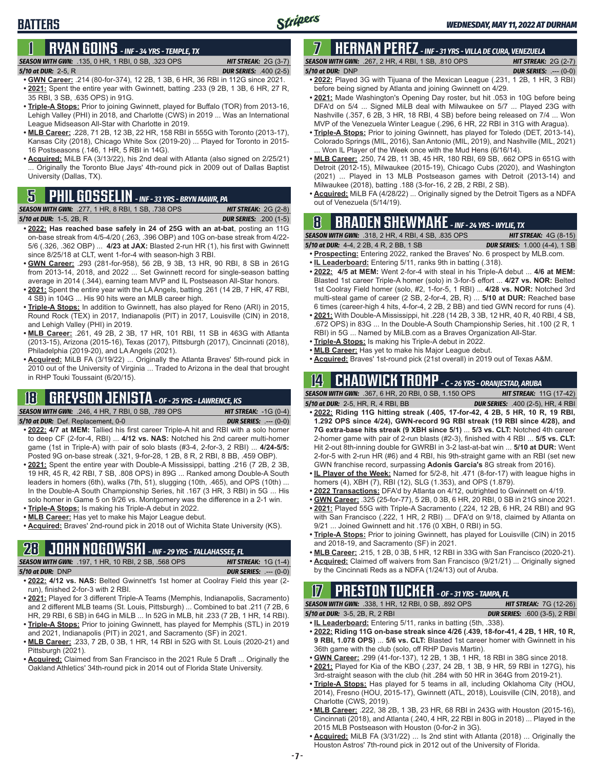# **1 RYAN GOINS** *- INF - 34 YRS - TEMPLE, TX*

#### *SEASON WITH GWN:*.135, 0 HR, 1 RBI, 0 SB, .323 OPS *HIT STREAK:* 2G (3-7) *5/10 at DUR:*2-5, R *DUR SERIES:* .400 (2-5)

**BATTERS**

- **• GWN Career:** .214 (80-for-374), 12 2B, 1 3B, 6 HR, 36 RBI in 112G since 2021. **• 2021:** Spent the entire year with Gwinnett, batting .233 (9 2B, 1 3B, 6 HR, 27 R, 35 RBI, 3 SB, .635 OPS) in 91G.
- **• Triple-A Stops:** Prior to joining Gwinnett, played for Buffalo (TOR) from 2013-16, Lehigh Valley (PHI) in 2018, and Charlotte (CWS) in 2019 ... Was an International League Midseason All-Star with Charlotte in 2019.
- **• MLB Career:** .228, 71 2B, 12 3B, 22 HR, 158 RBI in 555G with Toronto (2013-17), Kansas City (2018), Chicago White Sox (2019-20) ... Played for Toronto in 2015- 16 Postseasons (.146, 1 HR, 5 RBI in 14G).
- **• Acquired:** MiLB FA (3/13/22), his 2nd deal with Atlanta (also signed on 2/25/21) ... Originally the Toronto Blue Jays' 4th-round pick in 2009 out of Dallas Baptist University (Dallas, TX).

| <b>SEASON WITH GWN:</b> .277, 1 HR, 8 RBI, 1 SB, .738 OPS \ | <b>HIT STREAK:</b> $2G(2-8)$  |
|-------------------------------------------------------------|-------------------------------|
| <b>5/10 at DUR:</b> 1-5, 2B, R                              | <b>DUR SERIES:</b> .200 (1-5) |

- **• 2022: Has reached base safely in 24 of 25G with an at-bat**, posting an 11G on-base streak from 4/5-4/20 (.263, .396 OBP) and 10G on-base streak from 4/22- 5/6 (.326, .362 OBP) ... **4/23 at JAX:** Blasted 2-run HR (1), his first with Gwinnett since 8/25/18 at CLT, went 1-for-4 with season-high 3 RBI.
- **• GWN Career:** .293 (281-for-958), 56 2B, 9 3B, 13 HR, 90 RBI, 8 SB in 261G from 2013-14, 2018, and 2022 ... Set Gwinnett record for single-season batting average in 2014 (.344), earning team MVP and IL Postseason All-Star honors.
- **• 2021:** Spent the entire year with the LA Angels, batting .261 (14 2B, 7 HR, 47 RBI, 4 SB) in 104G ... His 90 hits were an MLB career high.
- **• Triple-A Stops:** In addition to Gwinnett, has also played for Reno (ARI) in 2015, Round Rock (TEX) in 2017, Indianapolis (PIT) in 2017, Louisville (CIN) in 2018, and Lehigh Valley (PHI) in 2019.
- **• MLB Career:** .261, 49 2B, 2 3B, 17 HR, 101 RBI, 11 SB in 463G with Atlanta (2013-15), Arizona (2015-16), Texas (2017), Pittsburgh (2017), Cincinnati (2018), Philadelphia (2019-20), and LA Angels (2021).
- **• Acquired:** MiLB FA (3/19/22) ... Originally the Atlanta Braves' 5th-round pick in 2010 out of the University of Virginia ... Traded to Arizona in the deal that brought in RHP Touki Toussaint (6/20/15).

### **18 GREYSON JENISTA** *- OF - 25 YRS - LAWRENCE, KS*

*SEASON WITH GWN:*.246, 4 HR, 7 RBI, 0 SB, .789 OPS *HIT STREAK:* -1G (0-4)

*5/10 at DUR:*Def. Replacement, 0-0 *DUR SERIES:* .--- (0-0)

- 
- **• 2022: 4/7 at MEM:** Tallied his first career Triple-A hit and RBI with a solo homer to deep CF (2-for-4, RBI) ... **4/12 vs. NAS:** Notched his 2nd career multi-homer game (1st in Triple-A) with pair of solo blasts (#3-4, 2-for-3, 2 RBI) ... **4/24-5/5:**  Posted 9G on-base streak (.321, 9-for-28, 1 2B, 8 R, 2 RBI, 8 BB, .459 OBP).
- **• 2021:** Spent the entire year with Double-A Mississippi, batting .216 (7 2B, 2 3B, 19 HR, 45 R, 42 RBI, 7 SB, .808 OPS) in 89G ... Ranked among Double-A South leaders in homers (6th), walks (7th, 51), slugging (10th, .465), and OPS (10th) ... In the Double-A South Championship Series, hit .167 (3 HR, 3 RBI) in 5G ... His solo homer in Game 5 on 9/26 vs. Montgomery was the difference in a 2-1 win.
- **• Triple-A Stops:** Is making his Triple-A debut in 2022.
- **• MLB Career:** Has yet to make his Major League debut.
- **• Acquired:** Braves' 2nd-round pick in 2018 out of Wichita State University (KS).

### **28 JOHN NOGOWSKI** *- INF - 29 YRS - TALLAHASSEE, FL*

|                      | <b>SEASON WITH GWN: .197. 1 HR. 10 RBI. 2 SB. .568 OPS</b>               | <b>HIT STREAK:</b> $1G(1-4)$   |
|----------------------|--------------------------------------------------------------------------|--------------------------------|
| $5/10$ at DUR: $DNP$ |                                                                          | <b>DUR SERIES:</b> $--- (0-0)$ |
|                      | a 2009 us NAC Polted Curinnettle 1st homer of Coolrey Field this year (2 |                                |

- **• 2022: 4/12 vs. NAS:** Belted Gwinnett's 1st homer at Coolray Field this year (2 run), finished 2-for-3 with 2 RBI.
- **• 2021:** Played for 3 different Triple-A Teams (Memphis, Indianapolis, Sacramento) and 2 different MLB teams (St. Louis, Pittsburgh) ... Combined to bat .211 (7 2B, 6 HR, 29 RBI, 6 SB) in 64G in MiLB ... In 52G in MLB, hit .233 (7 2B, 1 HR, 14 RBI).
- **• Triple-A Stops:** Prior to joining Gwinnett, has played for Memphis (STL) in 2019 and 2021, Indianapolis (PIT) in 2021, and Sacramento (SF) in 2021.
- **• MLB Career:** .233, 7 2B, 0 3B, 1 HR, 14 RBI in 52G with St. Louis (2020-21) and Pittsburgh (2021).
- **• Acquired:** Claimed from San Francisco in the 2021 Rule 5 Draft ... Originally the Oakland Athletics' 34th-round pick in 2014 out of Florida State University.

#### **7 HERNAN PEREZ** *- INF - 31 YRS - VILLA DE CURA, VENEZUELA SEASON WITH GWN:*.267, 2 HR, 4 RBI, 1 SB, .810 OPS *HIT STREAK:* 2G (2-7)

- *5/10 at DUR:*DNP *DUR SERIES:* .--- (0-0) **• 2022:** Played 3G with Tijuana of the Mexican League (.231, 1 2B, 1 HR, 3 RBI) before being signed by Atlanta and joining Gwinnett on 4/29.
- **• 2021:** Made Washington's Opening Day roster, but hit .053 in 10G before being DFA'd on 5/4 ... Signed MiLB deal with Milwaukee on 5/7 ... Played 23G with Nashville (.357, 6 2B, 3 HR, 18 RBI, 4 SB) before being released on 7/4 ... Won MVP of the Venezuela Winter League (.296, 6 HR, 22 RBI in 31G with Aragua).
- **• Triple-A Stops:** Prior to joining Gwinnett, has played for Toledo (DET, 2013-14), Colorado Springs (MIL, 2016), San Antonio (MIL, 2019), and Nashville (MIL, 2021) ... Won IL Player of the Week once with the Mud Hens (6/16/14).
- **• MLB Career:** .250, 74 2B, 11 3B, 45 HR, 180 RBI, 69 SB, .662 OPS in 651G with Detroit (2012-15), Milwaukee (2015-19), Chicago Cubs (2020), and Washington (2021) ... Played in 13 MLB Postseason games with Detroit (2013-14) and Milwaukee (2018), batting .188 (3-for-16, 2 2B, 2 RBI, 2 SB).
- **• Acquired:** MiLB FA (4/28/22) ... Originally signed by the Detroit Tigers as a NDFA **5** out of Venezuela (5/14/19). **PHIL GOSSELIN**  *INF 33 YRS BRYN MAWR, PA*

### **8 BRADEN SHEWMAKE** *- INF - 24 YRS - WYLIE, TX*

*SEASON WITH GWN:*.318, 2 HR, 4 RBI, 4 SB, .835 OPS *HIT STREAK:* 4G (8-15)

- *5/10 at DUR:*4-4, 2 2B, 4 R, 2 BB, 1 SB *DUR SERIES:* 1.000 (4-4), 1 SB **• Prospecting:** Entering 2022, ranked the Braves' No. 6 prospect by MLB.com.
- **• IL Leaderboard:** Entering 5/11, ranks 9th in batting (.318).
- **• 2022: 4/5 at MEM:** Went 2-for-4 with steal in his Triple-A debut ... **4/6 at MEM:**  Blasted 1st career Triple-A homer (solo) in 3-for-5 effort ... **4/27 vs. NOR:** Belted 1st Coolray Field homer (solo, #2, 1-for-5, 1 RBI) ... **4/28 vs. NOR:** Notched 3rd multi-steal game of career (2 SB, 2-for-4, 2B, R) ... **5/10 at DUR:** Reached base 6 times (career-high 4 hits, 4-for-4, 2 2B, 2 BB) and tied GWN record for runs (4).
- **• 2021:** With Double-A Mississippi, hit .228 (14 2B, 3 3B, 12 HR, 40 R, 40 RBI, 4 SB, .672 OPS) in 83G ... In the Double-A South Championship Series, hit .100 (2 R, 1 RBI) in 5G ... Named by MiLB.com as a Braves Organization All-Star.
- **• Triple-A Stops:** Is making his Triple-A debut in 2022.
- **• MLB Career:** Has yet to make his Major League debut.
- **• Acquired:** Braves' 1st-round pick (21st overall) in 2019 out of Texas A&M.

#### **14 CHADWICK TROMP** *- C - 26 YRS - ORANJESTAD, ARUBA*

*SEASON WITH GWN:*.367, 6 HR, 20 RBI, 0 SB, 1.150 OPS *HIT STREAK:* 11G (17-42)

- *5/10 at DUR:*2-5, HR, R, 4 RBI, BB *DUR SERIES:* .400 (2-5), HR, 4 RBI **• 2022: Riding 11G hitting streak (.405, 17-for-42, 4 2B, 5 HR, 10 R, 19 RBI, 1.292 OPS since 4/24), GWN-record 9G RBI streak (19 RBI since 4/28), and 7G extra-base hits streak (9 XBH since 5/1)** ... **5/3 vs. CLT:** Notched 4th career 2-homer game with pair of 2-run blasts (#2-3), finished with 4 RBI ... **5/5 vs. CLT:** Hit 2-out 8th-inning double for GWRBI in 3-2 last-at-bat win ... **5/10 at DUR:** Went 2-for-5 with 2-run HR (#6) and 4 RBI, his 9th-straight game with an RBI (set new GWN franchise record, surpassing **Adonis Garcia's** 8G streak from 2016).
- **• IL Player of the Week:** Named for 5/2-8, hit .471 (8-for-17) with league highs in homers (4), XBH (7), RBI (12), SLG (1.353), and OPS (1.879).
- **• 2022 Transactions:** DFA'd by Atlanta on 4/12, outrighted to Gwinnett on 4/19.
- **• GWN Career:** .325 (25-for-77), 5 2B, 0 3B, 6 HR, 20 RBI, 0 SB in 21G since 2021.
- **• 2021:** Played 55G with Triple-A Sacramento (.224, 12 2B, 6 HR, 24 RBI) and 9G with San Francisco (.222, 1 HR, 2 RBI) ... DFA'd on 9/18, claimed by Atlanta on 9/21 ... Joined Gwinnett and hit .176 (0 XBH, 0 RBI) in 5G.
- **• Triple-A Stops:** Prior to joining Gwinnett, has played for Louisville (CIN) in 2015 and 2018-19, and Sacramento (SF) in 2021.
- **• MLB Career:** .215, 1 2B, 0 3B, 5 HR, 12 RBI in 33G with San Francisco (2020-21).
- **• Acquired:** Claimed off waivers from San Francisco (9/21/21) ... Originally signed
- by the Cincinnati Reds as a NDFA (1/24/13) out of Aruba.

### **17 PRESTON TUCKER** *- OF - 31 YRS - TAMPA, FL*

*SEASON WITH GWN:*.338, 1 HR, 12 RBI, 0 SB, .892 OPS *HIT STREAK:* 7G (12-26) *5/10 at DUR:*3-5, 2B, R, 2 RBI *DUR SERIES:* .600 (3-5), 2 RBI

- **• IL Leaderboard:** Entering 5/11, ranks in batting (5th, .338). **• 2022: Riding 11G on-base streak since 4/26 (.439, 18-for-41, 4 2B, 1 HR, 10 R, 9 RBI, 1.078 OPS)** ... **5/6 vs. CLT:** Blasted 1st career homer with Gwinnett in his 36th game with the club (solo, off RHP Davis Martin).
- **• GWN Career:** .299 (41-for-137), 12 2B, 1 3B, 1 HR, 18 RBI in 38G since 2018.
- **• 2021:** Played for Kia of the KBO (.237, 24 2B, 1 3B, 9 HR, 59 RBI in 127G), his 3rd-straight season with the club (hit .284 with 50 HR in 364G from 2019-21).
- **• Triple-A Stops:** Has played for 5 teams in all, including Oklahoma City (HOU, 2014), Fresno (HOU, 2015-17), Gwinnett (ATL, 2018), Louisville (CIN, 2018), and Charlotte (CWS, 2019).
- **• MLB Career:** .222, 38 2B, 1 3B, 23 HR, 68 RBI in 243G with Houston (2015-16), Cincinnati (2018), and Atlanta (.240, 4 HR, 22 RBI in 80G in 2018) ... Played in the 2015 MLB Postseason with Houston (0-for-2 in 3G).
- **• Acquired:** MiLB FA (3/31/22) ... Is 2nd stint with Atlanta (2018) ... Originally the Houston Astros' 7th-round pick in 2012 out of the University of Florida.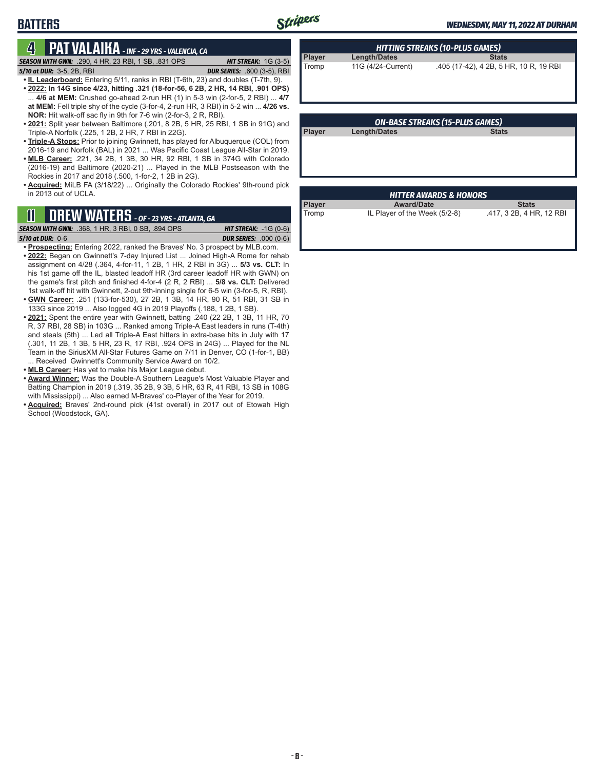# **BATTERS**

#### **4 PAT VALAIKA** *- INF - 29 YRS - VALENCIA, CA SEASON WITH GWN:*.290, 4 HR, 23 RBI, 1 SB, .831 OPS *HIT STREAK:* 1G (3-5)

*5/10 at DUR:*3-5, 2B, RBI *DUR SERIES:* .600 (3-5), RBI

- **• IL Leaderboard:** Entering 5/11, ranks in RBI (T-6th, 23) and doubles (T-7th, 9). **• 2022: In 14G since 4/23, hitting .321 (18-for-56, 6 2B, 2 HR, 14 RBI, .901 OPS)** ... **4/6 at MEM:** Crushed go-ahead 2-run HR (1) in 5-3 win (2-for-5, 2 RBI) ... **4/7 at MEM:** Fell triple shy of the cycle (3-for-4, 2-run HR, 3 RBI) in 5-2 win ... **4/26 vs. NOR:** Hit walk-off sac fly in 9th for 7-6 win (2-for-3, 2 R, RBI).
- **• 2021:** Split year between Baltimore (.201, 8 2B, 5 HR, 25 RBI, 1 SB in 91G) and Triple-A Norfolk (.225, 1 2B, 2 HR, 7 RBI in 22G).
- **• Triple-A Stops:** Prior to joining Gwinnett, has played for Albuquerque (COL) from 2016-19 and Norfolk (BAL) in 2021 ... Was Pacific Coast League All-Star in 2019.
- **• MLB Career:** .221, 34 2B, 1 3B, 30 HR, 92 RBI, 1 SB in 374G with Colorado (2016-19) and Baltimore (2020-21) ... Played in the MLB Postseason with the Rockies in 2017 and 2018 (.500, 1-for-2, 1 2B in 2G).
- **• Acquired:** MiLB FA (3/18/22) ... Originally the Colorado Rockies' 9th-round pick in 2013 out of UCLA.

### **11 DREW WATERS** *- OF - 23 YRS - ATLANTA, GA*

*SEASON WITH GWN:*.368, 1 HR, 3 RBI, 0 SB, .894 OPS *HIT STREAK:* -1G (0-6) *5/10 at DUR:*0-6 *DUR SERIES:* .000 (0-6)

- **• Prospecting:** Entering 2022, ranked the Braves' No. 3 prospect by MLB.com. **• 2022:** Began on Gwinnett's 7-day Injured List ... Joined High-A Rome for rehab assignment on 4/28 (.364, 4-for-11, 1 2B, 1 HR, 2 RBI in 3G) ... **5/3 vs. CLT:** In his 1st game off the IL, blasted leadoff HR (3rd career leadoff HR with GWN) on the game's first pitch and finished 4-for-4 (2 R, 2 RBI) ... **5/8 vs. CLT:** Delivered 1st walk-off hit with Gwinnett, 2-out 9th-inning single for 6-5 win (3-for-5, R, RBI).
- **• GWN Career:** .251 (133-for-530), 27 2B, 1 3B, 14 HR, 90 R, 51 RBI, 31 SB in 133G since 2019 ... Also logged 4G in 2019 Playoffs (.188, 1 2B, 1 SB).
- **• 2021:** Spent the entire year with Gwinnett, batting .240 (22 2B, 1 3B, 11 HR, 70 R, 37 RBI, 28 SB) in 103G ... Ranked among Triple-A East leaders in runs (T-4th) and steals (5th) ... Led all Triple-A East hitters in extra-base hits in July with 17 (.301, 11 2B, 1 3B, 5 HR, 23 R, 17 RBI, .924 OPS in 24G) ... Played for the NL Team in the SiriusXM All-Star Futures Game on 7/11 in Denver, CO (1-for-1, BB) ... Received Gwinnett's Community Service Award on 10/2.
- **• MLB Career:** Has yet to make his Major League debut.
- **• Award Winner:** Was the Double-A Southern League's Most Valuable Player and Batting Champion in 2019 (.319, 35 2B, 9 3B, 5 HR, 63 R, 41 RBI, 13 SB in 108G with Mississippi) ... Also earned M-Braves' co-Player of the Year for 2019.
- **• Acquired:** Braves' 2nd-round pick (41st overall) in 2017 out of Etowah High School (Woodstock, GA).

| <b>HITTING STREAKS (10-PLUS GAMES)</b> |                    |                                        |  |  |
|----------------------------------------|--------------------|----------------------------------------|--|--|
| Player                                 | Length/Dates       | <b>Stats</b>                           |  |  |
| Tromp                                  | 11G (4/24-Current) | .405 (17-42), 4 2B, 5 HR, 10 R, 19 RBI |  |  |

| <b>ON-BASE STREAKS (15-PLUS GAMES)</b> |              |              |  |
|----------------------------------------|--------------|--------------|--|
| <b>Player</b>                          | Length/Dates | <b>Stats</b> |  |
|                                        |              |              |  |
|                                        |              |              |  |
|                                        |              |              |  |
|                                        |              |              |  |

| <b>HITTER AWARDS &amp; HONORS</b> |                               |                          |  |  |  |
|-----------------------------------|-------------------------------|--------------------------|--|--|--|
| Player                            | <b>Award/Date</b>             | <b>Stats</b>             |  |  |  |
| Tromp                             | IL Player of the Week (5/2-8) | .417, 3 2B, 4 HR, 12 RBI |  |  |  |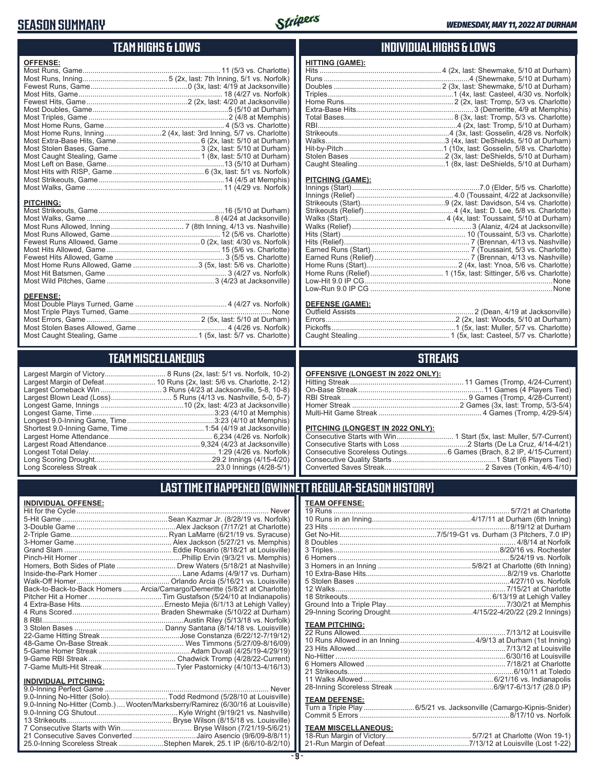### **SEASON SUMMARY**



#### **TEAM HIGHS & LOWS**

| <b>OFFENSE:</b>  |  |
|------------------|--|
|                  |  |
|                  |  |
|                  |  |
|                  |  |
|                  |  |
|                  |  |
|                  |  |
|                  |  |
|                  |  |
|                  |  |
|                  |  |
|                  |  |
|                  |  |
|                  |  |
|                  |  |
|                  |  |
|                  |  |
| <b>PITCHING:</b> |  |
|                  |  |

Most Walks, Game ...............................................................8 (4/24 at Jacksonville) Most Runs Allowed, Inning .................................... 7 (8th Inning, 4/13 vs. Nashville) Most Runs Allowed, Game ...................................................... 12 (5/6 vs. Charlotte) Fewest Runs Allowed, Game ........................................0 (2x, last: 4/30 vs. Norfolk) Most Hits Allowed, Game ........................................................ 15 (5/6 vs. Charlotte) Fewest Hits Allowed, Game ...................................................... 3 (5/5 vs. Charlotte) Most Home Runs Allowed, Game ................................3 (5x, last: 5/6 vs. Charlotte) Most Hit Batsmen, Game ........................................................... 3 (4/27 vs. Norfolk) Most Wild Pitches, Game .....................................................3 (4/23 at Jacksonville)

#### **INDIVIDUAL HIGHS & LOWS**

| Hit-by-Pitch……………………………………………1 (10x, last: Gosselin, 5/8 vs. Charlotte) |
|-------------------------------------------------------------------------|
|                                                                         |
|                                                                         |
|                                                                         |

#### **PITCHING (GAME):**

**HITTING (GAME):**

#### **DEFENSE (GAME):**

#### **STREAKS**

#### **PITCHING (LONGEST IN 2022 ONLY):**

#### **LAST TIME IT HAPPENED (GWINNETT REGULAR-SEASON HISTORY)**

#### **TEAM OFFENSE:**

| <b>TEAM PITCHING:</b> |                                                                    |
|-----------------------|--------------------------------------------------------------------|
|                       |                                                                    |
|                       |                                                                    |
|                       |                                                                    |
|                       |                                                                    |
|                       |                                                                    |
|                       |                                                                    |
|                       |                                                                    |
|                       |                                                                    |
| <b>TEAM DEFENSE:</b>  |                                                                    |
|                       | Turn a Triple Play 6/5/21 vs. Jacksonville (Camargo-Kipnis-Snider) |

### **TEAM MISCELLANEOUS:**<br>18-Run Margin of Victory....

| 21-Run Margin of Defeat…………………………………7/13/12 at Louisville (Lost 1-22) |
|-----------------------------------------------------------------------|

### **TEAM MISCELLANEOUS**

**DEFENSE:** Most Double Plays Turned, Game ............................................. 4 (4/27 vs. Norfolk) Most Triple Plays Turned, Game ...................................................................... None Most Errors, Game ........................................................ 2 (5x, last: 5/10 at Durham) Most Stolen Bases Allowed, Game ............................................ 4 (4/26 vs. Norfolk) Most Caught Stealing, Game .......................................1 (5x, last: 5/7 vs. Charlotte)

| Largest Margin of Victory      |
|--------------------------------|
| Largest Margin of Defeat       |
| Largest Comeback Win           |
| Largest Blown Lead (Loss)      |
| Longest Game, Innings          |
| Longest Game, Time             |
| Longest 9.0-Inning Game, Time  |
| Shortest 9.0-Inning Game, Time |
| Largest Home Attendance        |
| Largest Road Attendance        |
| Longest Total Delay            |
| Long Scoring Drought           |
| Long Scoreless Streak          |

..................... 8 Runs (2x, last: 5/1 vs. Norfolk, 10-2) ............. 10 Runs (2x, last: 5/6 vs. Charlotte, 2-12) .................. 3 Runs (4/23 at Jacksonville, 5-8, 10-8) ........................ 5 Runs (4/13 vs. Nashville, 5-0, 5-7) ..............................10 (2x, last: 4/23 at Jacksonville) Longest Game, Time ............................................................3:23 (4/10 at Memphis) Longest 9.0-Inning Game, Time ...........................................3:23 (4/10 at Memphis) Shortest 9.0-Inning Game, Time .....................................1:54 (4/19 at Jacksonville) Largest Home Attendance ................................................... 6,234 (4/26 vs. Norfolk) Largest Road Attendance ..............................................9,324 (4/23 at Jacksonville) Longest Total Delay............................................................... 1:29 (4/26 vs. Norfolk) Long Scoring Drought..........................................................29.2 Innings (4/15-4/20) Long Scoreless Streak ..........................................................23.0 Innings (4/28-5/1)

#### **INDIVIDUAL OFFENSE:**

| Never                                                                      |
|----------------------------------------------------------------------------|
| Sean Kazmar Jr. (8/28/19 vs. Norfolk)                                      |
|                                                                            |
|                                                                            |
|                                                                            |
|                                                                            |
|                                                                            |
|                                                                            |
|                                                                            |
|                                                                            |
| Back-to-Back-to-Back Homers  Arcia/Camargo/Demeritte (5/8/21 at Charlotte) |
|                                                                            |
|                                                                            |
|                                                                            |
|                                                                            |
|                                                                            |
|                                                                            |
|                                                                            |
|                                                                            |
|                                                                            |
| Tyler Pastornicky (4/10/13-4/16/13).                                       |
|                                                                            |

#### **INDIVIDUAL PITCHING:**

| 9.0-Inning No-Hitter (Comb.)  Wooten/Marksberry/Ramirez (6/30/16 at Louisville) |
|---------------------------------------------------------------------------------|
|                                                                                 |
|                                                                                 |
|                                                                                 |
| 21 Consecutive Saves Converted Jairo Asencio (9/6/09-8/8/11)                    |
| 25.0-Inning Scoreless Streak Stephen Marek, 25.1 IP (6/6/10-8/2/10)             |